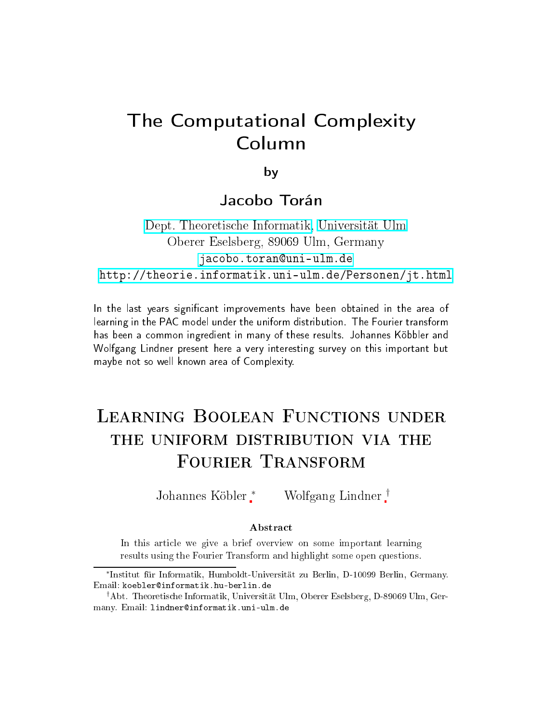# The Computational Complexity Column

by

#### Jacobo Torán Ja
obo Torán

Dept. [Theoretis
he](http://informatik.uni-ulm.de) Informatik, [Universität](http://www.uni-ulm.de) Ulm Oberer Eselsberg, <sup>89069</sup> Ulm, Germany jacobo.toran@uni-ulm.de <http://theorie.informatik.uni-ulm.de/Personen/jt.html>

In the last years significant improvements have been obtained in the area of learning in the PAC model under the uniform distribution. The Fourier transform has been <sup>a</sup> ommon ingredient in many of these results. Johannes Köbbler and Wolfgang Lindner present here a very interesting survey on this important but maybe not so well known area of Complexity.

# THE UNIFORM DISTRIBUTION VIA THE FOURIER TRANSFORM

Johannes Köbler∗ Wolfgang Lindner †

#### **Abstract**

In this article we give a brief overview on some important learning results using the Fourier Transform and highlight some open questions.

<sup>∗</sup> Institut für Informatik, Humboldt-Universität zu Berlin, D-10099 Berlin, Germany. Email: koebler@informatik.hu-berlin.de

<sup>†</sup>Abt. Theoretis
he Informatik, Universität Ulm, Oberer Eselsberg, D-89069 Ulm, Germany. Email: lindner@informatik.uni-ulm.de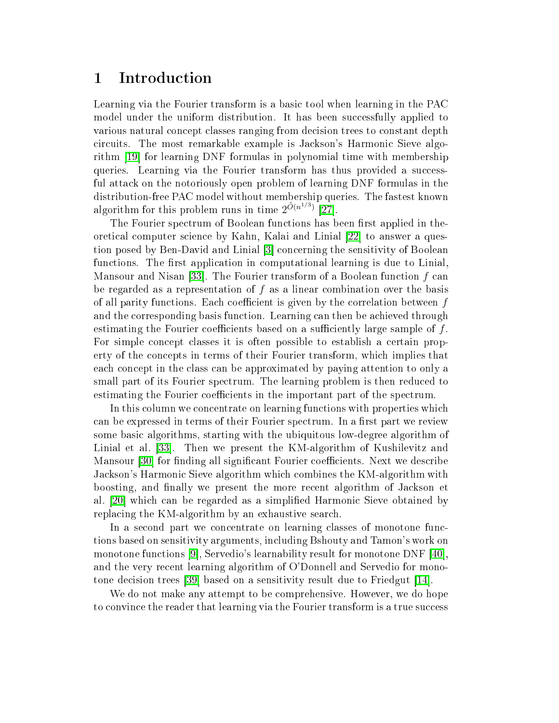#### 1**Introduction**

Learning via the Fourier transform is a basi tool when learning in the PAC model under the uniform distribution. It has been successfully applied to various natural concept classes ranging from decision trees to constant depth circuits. The most remarkable example is Jackson's Harmonic Sieve algorithm  $[19]$  for learning DNF formulas in polynomial time with membership queries. Learning via the Fourier transform has thus provided a successful atta
k on the notoriously open problem of learning DNF formulas in the distribution-free PAC model without membership queries. The fastest known algorithm for this problem runs in time  $2^{\tilde{O}(n^{1/3})}$  [27].

The Fourier spectrum of Boolean functions has been first applied in theoretical computer science by Kahn, Kalai and Linial [22] to answer a question posed by Ben-David and Linial [3] concerning the sensitivity of Boolean functions. The first application in computational learning is due to Linial. Mansour and Nisan [33]. The Fourier transform of a Boolean function  $f$  can be regarded as a representation of  $f$  as a linear combination over the basis of all parity functions. Each coefficient is given by the correlation between f and the corresponding basis function. Learning can then be achieved through estimating the Fourier coefficients based on a sufficiently large sample of  $f$ . For simple concept classes it is often possible to establish a certain property of the on
epts in terms of their Fourier transform, whi
h implies that ea
h on
ept in the lass an be approximated by paying attention to only a small part of its Fourier spectrum. The learning problem is then reduced to estimating the Fourier coefficients in the important part of the spectrum.

In this column we concentrate on learning functions with properties which can be expressed in terms of their Fourier spectrum. In a first part we review some basi algorithms, starting with the ubiquitous low-degree algorithm of Linial et al. [33]. Then we present the KM-algorithm of Kushilevitz and Mansour [30] for finding all significant Fourier coefficients. Next we describe Jackson's Harmonic Sieve algorithm which combines the KM-algorithm with boosting, and finally we present the more recent algorithm of Jackson et al. [20] which can be regarded as a simplified Harmonic Sieve obtained by replacing the KM-algorithm by an exhaustive search.

In a second part we concentrate on learning classes of monotone functions based on sensitivity arguments, in
luding Bshouty and Tamon's work on monotone functions [9], Servedio's learnability result for monotone DNF  $[40]$ , and the very re
ent learning algorithm of O'Donnell and Servedio for monotone decision trees [39] based on a sensitivity result due to Friedgut [14].

We do not make any attempt to be comprehensive. However, we do hope to convince the reader that learning via the Fourier transform is a true success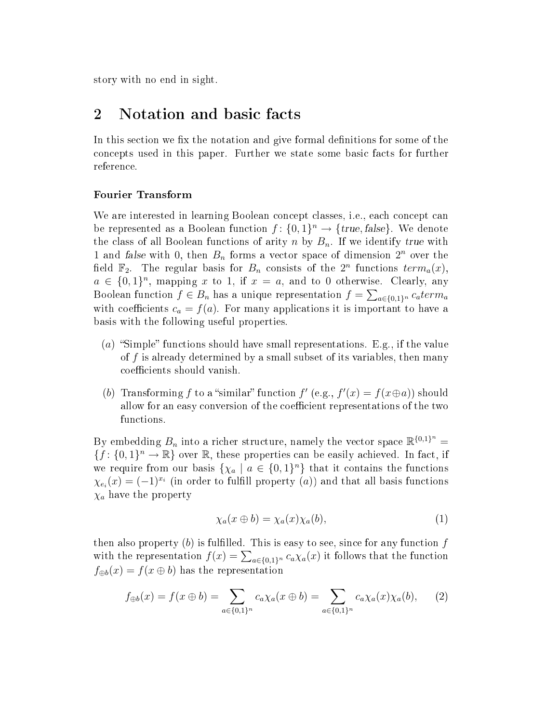<span id="page-2-2"></span>story with no end in sight.

#### 2Notation and basic facts

In this section we fix the notation and give formal definitions for some of the on
epts used in this paper. Further we state some basi fa
ts for further reference.

We are interested in learning Boolean concept classes, i.e., each concept can be represented as a Boolean function  $f: \{0,1\}^n \to \{true, false\}$ . We denote the class of all Boolean functions of arity n by  $B_n$ . If we identify true with 1 and false with 0, then  $B_n$  forms a vector space of dimension  $2^n$  over the field  $\mathbb{F}_2$ . The regular basis for  $B_n$  consists of the  $2^n$  functions  $term_a(x)$ ,  $a \in \{0,1\}^n$ , mapping x to 1, if  $x = a$ , and to 0 otherwise. Clearly, any Boolean function  $f \in B_n$  has a unique representation  $f = \sum_{a \in \{0,1\}^n} c_a term_a$ with coefficients  $c_a = f(a)$ . For many applications it is important to have a basis with the following useful properties.

- (a) "Simple" functions should have small representations. E.g., if the value of  $f$  is already determined by a small subset of its variables, then many coefficients should vanish.
- (b) Transforming f to a "similar" function  $f'(e.g., f'(x) = f(x \oplus a))$  should allow for an easy conversion of the coefficient representations of the two functions.

<span id="page-2-0"></span>By embedding  $B_n$  into a richer structure, namely the vector space  $\mathbb{R}^{\{0,1\}^n} =$  ${f: \{0,1\}^n \to \mathbb{R}}$  over  $\mathbb R$ , these properties can be easily achieved. In fact, if we require from our basis  $\{\chi_a \mid a \in \{0,1\}^n\}$  that it contains the functions  $\chi_{e_i}(x) = (-1)^{x_i}$  (in order to fulfill property  $(a)$ ) and that all basis functions  $\chi_a$  have the property

<span id="page-2-1"></span>
$$
\chi_a(x \oplus b) = \chi_a(x)\chi_a(b),\tag{1}
$$

then also property  $(b)$  is fulfilled. This is easy to see, since for any function  $f$ with the representation  $f(x) = \sum_{a \in \{0,1\}^n} c_a \chi_a(x)$  it follows that the function  $f_{\oplus b}(x) = f(x \oplus b)$  has the representation

$$
f_{\oplus b}(x) = f(x \oplus b) = \sum_{a \in \{0,1\}^n} c_a \chi_a(x \oplus b) = \sum_{a \in \{0,1\}^n} c_a \chi_a(x) \chi_a(b), \qquad (2)
$$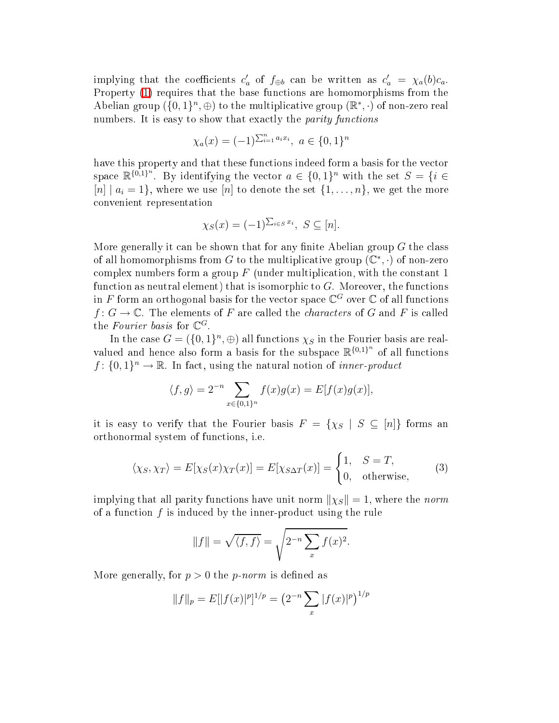implying that the coefficients  $c'_a$  of  $f_{\oplus b}$  can be written as  $c'_a = \chi_a(b)c_a$ . Property [\(](#page-2-0)1) requires that the base functions are homomorphisms from the Abelian group  $(\{0,1\}^n, \oplus)$  to the multiplicative group  $(\mathbb{R}^*, \cdot)$  of non-zero real numbers. It is easy to show that exactly the *parity functions* 

$$
\chi_a(x) = (-1)^{\sum_{i=1}^n a_i x_i}, \ a \in \{0, 1\}^n
$$

have this property and that these functions indeed form a basis for the vector space  $\mathbb{R}^{\{0,1\}^n}$ . By identifying the vector  $a \in \{0,1\}^n$  with the set  $S = \{i \in \mathbb{R}^n\}$  $[n] | a_i = 1$ , where we use  $[n]$  to denote the set  $\{1, \ldots, n\}$ , we get the more onvenient representation

$$
\chi_S(x) = (-1)^{\sum_{i \in S} x_i}, \ S \subseteq [n].
$$

More generally it can be shown that for any finite Abelian group  $G$  the class of all homomorphisms from G to the multiplicative group  $(\mathbb{C}^*, \cdot)$  of non-zero complex numbers form a group  $F$  (under multiplication, with the constant 1 function as neutral element) that is isomorphic to  $G$ . Moreover, the functions in  $F$  form an orthogonal basis for the vector space  $\mathbb{C}^G$  over  $\mathbb C$  of all functions  $f: G \to \mathbb{C}$ . The elements of F are called the *characters* of G and F is called the Fourier basis for  $\mathbb{C}^G$ .

In the case  $G = (\{0,1\}^n, \oplus)$  all functions  $\chi_S$  in the Fourier basis are realvalued and hence also form a basis for the subspace  $\mathbb{R}^{\{0,1\}^n}$  of all functions  $f: \{0,1\}^n \to \mathbb{R}$ . In fact, using the natural notion of *inner-product* 

<span id="page-3-0"></span>
$$
\langle f, g \rangle = 2^{-n} \sum_{x \in \{0,1\}^n} f(x)g(x) = E[f(x)g(x)],
$$

it is easy to verify that the Fourier basis  $F = \{\chi_S \mid S \subseteq [n]\}\)$  forms an orthonormal system of fun
tions, i.e.

$$
\langle \chi_S, \chi_T \rangle = E[\chi_S(x)\chi_T(x)] = E[\chi_{S\Delta T}(x)] = \begin{cases} 1, & S = T, \\ 0, & \text{otherwise,} \end{cases} \tag{3}
$$

implying that all parity functions have unit norm  $\|\chi_S\|=1$ , where the norm of a fun
tion f is indu
ed by the inner-produ
t using the rule

$$
||f|| = \sqrt{\langle f, f \rangle} = \sqrt{2^{-n} \sum_{x} f(x)^2}.
$$

More generally, for  $p > 0$  the p-norm is defined as

$$
||f||_p = E[|f(x)|^p]^{1/p} = (2^{-n} \sum_x |f(x)|^p)^{1/p}
$$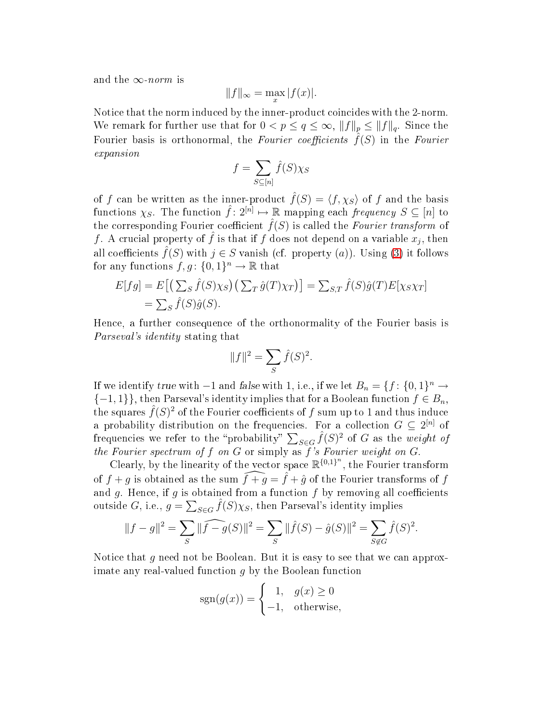and the  $\infty$ -norm is

$$
||f||_{\infty} = \max_{x} |f(x)|.
$$

Notice that the norm induced by the inner-product coincides with the 2-norm. We remark for further use that for  $0 < p \le q \le \infty$ ,  $||f||_p \le ||f||_q$ . Since the Fourier basis is orthonormal, the Fourier coefficients  $\hat{f}(S)$  in the Fourier expansion

$$
f = \sum_{S \subseteq [n]} \hat{f}(S) \chi_S
$$

of f can be written as the inner-product  $\hat{f}(S) = \langle f, \chi_S \rangle$  of f and the basis functions  $\chi_S$ . The function  $\hat{f}: 2^{[n]} \mapsto \mathbb{R}$  mapping each frequency  $S \subseteq [n]$  to the corresponding Fourier coefficient  $\hat{f}(S)$  is called the Fourier transform of f. A crucial property of  $\hat{f}$  is that if  $f$  does not depend on a variable  $x_j,$  then all coefficients  $\hat{f}(S)$  with  $j \in S$  vanish (cf. property (a)). Using [\(3\)](#page-3-0) it follows for any functions  $f, g \colon \{0, 1\}^n \to \mathbb{R}$  that

$$
E[fg] = E[(\sum_{S} \hat{f}(S)\chi_{S}) (\sum_{T} \hat{g}(T)\chi_{T})] = \sum_{S,T} \hat{f}(S)\hat{g}(T)E[\chi_{S}\chi_{T}]
$$
  
=  $\sum_{S} \hat{f}(S)\hat{g}(S).$ 

Hen
e, a further onsequen
e of the orthonormality of the Fourier basis is Parseval's identity stating that

$$
||f||^2 = \sum_{S} \hat{f}(S)^2.
$$

If we identify true with  $-1$  and false with 1, i.e., if we let  $B_n = \{f: \{0,1\}^n \to \}$  $\{-1,1\}\},\$  then Parseval's identity implies that for a Boolean function  $f \in B_n$ , the squares  $\widehat{f}(S)^2$  of the Fourier coefficients of f sum up to 1 and thus induce a probability distribution on the frequencies. For a collection  $G \subseteq 2^{[n]}$  of frequencies we refer to the "probability"  $\sum_{S \in \mathcal{G}} \hat{f}(S)^2$  of G as the weight of the Fourier spectrum of  $f$  on  $G$  or simply as  $f$ 's Fourier weight on  $G$ .

Clearly, by the linearity of the vector space  $\mathbb{R}^{\{0,1\}^n}$ , the Fourier transform of  $f + q$  is obtained as the sum  $\widehat{f+ q} = \widehat{f} + \widehat{q}$  of the Fourier transforms of f and g. Hence, if g is obtained from a function  $f$  by removing all coefficients outside  $G$ , i.e.,  $g = \sum_{S \in G} \hat{f}(S) \chi_S$ , then Parseval's identity implies

$$
||f - g||2 = \sum_{S} ||\widehat{f - g}(S)||2 = \sum_{S} ||\widehat{f}(S) - \widehat{g}(S)||2 = \sum_{S \notin G} \widehat{f}(S)2.
$$

Notice that  $q$  need not be Boolean. But it is easy to see that we can approximate any real-valued function  $g$  by the Boolean function

$$
sgn(g(x)) = \begin{cases} 1, & g(x) \ge 0 \\ -1, & \text{otherwise,} \end{cases}
$$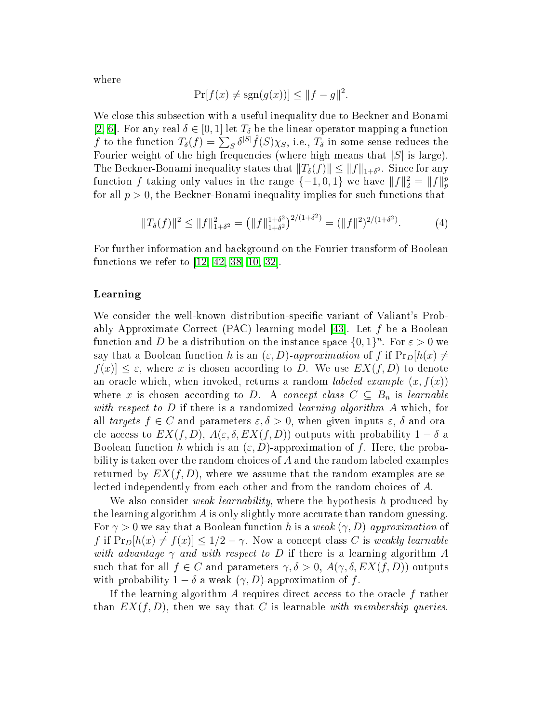where

<span id="page-5-0"></span>
$$
\Pr[f(x) \neq \text{sgn}(g(x))] \leq ||f - g||^2.
$$

We close this subsection with a useful inequality due to Beckner and Bonami [\[2,](#page-29-1) 6]. For any real  $\delta \in [0,1]$  let  $T_{\delta}$  be the linear operator mapping a function  $f$  to the function  $T_{\delta}(f) = \sum_{S} \delta^{|S|} \hat{f}(S) \chi_{S}$ , i.e.,  $T_{\delta}$  in some sense reduces the Fourier weight of the high frequencies (where high means that  $|S|$  is large). The Beckner-Bonami inequality states that  $||T_\delta(f)|| \le ||f||_{1+\delta^2}$ . Since for any function f taking only values in the range  $\{-1,0,1\}$  we have  $||f||_2^2 = ||f||_p^p$ for all  $p > 0$ , the Beckner-Bonami inequality implies for such functions that

$$
||T_{\delta}(f)||^2 \le ||f||^2_{1+\delta^2} = (||f||^{1+\delta^2}_{1+\delta^2})^{2/(1+\delta^2)} = (||f||^2)^{2/(1+\delta^2)}.
$$
 (4)

For further information and ba
kground on the Fourier transform of Boolean functions we refer to  $[12, 42, 38, 10, 32]$  $[12, 42, 38, 10, 32]$  $[12, 42, 38, 10, 32]$  $[12, 42, 38, 10, 32]$  $[12, 42, 38, 10, 32]$  $[12, 42, 38, 10, 32]$  $[12, 42, 38, 10, 32]$  $[12, 42, 38, 10, 32]$ .

#### Learning

We consider the well-known distribution-specific variant of Valiant's Probably Approximate Correct (PAC) learning model [43]. Let f be a Boolean function and D be a distribution on the instance space  $\{0, 1\}^n$ . For  $\varepsilon > 0$  we say that a Boolean function h is an  $(\varepsilon, D)$ -approximation of f if  $Pr_D[h(x) \neq$  $|f(x)| \leq \varepsilon$ , where x is chosen according to D. We use  $EX(f, D)$  to denote an oracle which, when invoked, returns a random *labeled example*  $(x, f(x))$ where x is chosen according to D. A concept class  $C \subseteq B_n$  is learnable with respect to  $D$  if there is a randomized learning algorithm  $A$  which, for all targets  $f \in C$  and parameters  $\varepsilon, \delta > 0$ , when given inputs  $\varepsilon, \delta$  and oracle access to  $EX(f, D)$ ,  $A(\varepsilon, \delta, EX(f, D))$  outputs with probability  $1 - \delta$  a Boolean function h which is an  $(\varepsilon, D)$ -approximation of f. Here, the probability is taken over the random choices of A and the random labeled examples returned by  $EX(f, D)$ , where we assume that the random examples are selected independently from each other and from the random choices of A.

We also consider *weak learnability*, where the hypothesis h produced by the learning algorithm  $\vec{A}$  is only slightly more accurate than random guessing. For  $\gamma > 0$  we say that a Boolean function h is a weak  $(\gamma, D)$ -approximation of f if  $Pr_D[h(x) \neq f(x)] \leq 1/2 - \gamma$ . Now a concept class C is weakly learnable with advantage  $\gamma$  and with respect to D if there is a learning algorithm A such that for all  $f \in C$  and parameters  $\gamma, \delta > 0$ ,  $A(\gamma, \delta, EX(f, D))$  outputs with probability  $1 - \delta$  a weak  $(\gamma, D)$ -approximation of f.

If the learning algorithm  $\tilde{A}$  requires direct access to the oracle  $f$  rather than  $EX(f, D)$ , then we say that C is learnable with membership queries.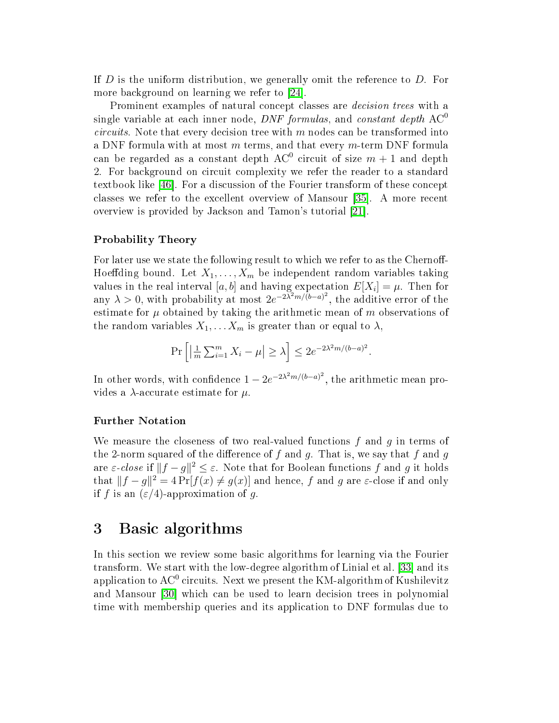If D is the uniform distribution, we generally omit the referen
e to D. For more background on learning we refer to [24].

Prominent examples of natural concept classes are *decision trees* with a single variable at each inner node, *DNF formulas*, and *constant depth*  $AC^0$  $circuits$ . Note that every decision tree with m nodes can be transformed into a DNF formula with at most  $m$  terms, and that every  $m$ -term DNF formula can be regarded as a constant depth  $\mathrm{AC}^0$  circuit of size  $m+1$  and depth 2. For background on circuit complexity we refer the reader to a standard textbook like [46]. For a discussion of the Fourier transform of these concept classes we refer to the excellent overview of Mansour [35]. A more recent overview is provided by Jackson and Tamon's tutorial [21].

#### $\blacksquare$  -  $\blacksquare$  . Theory  $\blacksquare$  -  $\blacksquare$  -  $\blacksquare$  -  $\blacksquare$  ,  $\blacksquare$

For later use we state the following result to which we refer to as the Chernoff-Hoeffding bound. Let  $X_1, \ldots, X_m$  be independent random variables taking values in the real interval  $[a,b]$  and having expectation  $E[X_i] = \mu.$  Then for any  $\lambda > 0$ , with probability at most  $2e^{-2\lambda^2 m/(\tilde{b}-a)^2}$ estimate for  $\mu$  obtained by taking the arithmetic mean of  $m$  observations of the random variables  $X_1, \ldots, X_m$  is greater than or equal to  $\lambda$ ,

$$
\Pr\left[\left|\frac{1}{m}\sum_{i=1}^m X_i - \mu\right| \ge \lambda\right] \le 2e^{-2\lambda^2 m/(b-a)^2}.
$$

In other words, with confidence  $1 - 2e^{-2\lambda^2 m/(b-a)^2}$ , the arithmetic control of the arithmetic control of the arithmetic control of the arithmetic control of the arithmetic control of the arithmetic control of the arithmetic control of the arithmetic control of the arithmet vides a  $\lambda$ -accurate estimate for  $\mu$ .

We measure the closeness of two real-valued functions  $f$  and  $q$  in terms of the 2-norm squared of the difference of f and g. That is, we say that f and g are  $\varepsilon$ -close if  $||f-g||^2 \leq \varepsilon$ . Note that for Boolean functions f and g it holds that  $||f - g||^2 = 4 \Pr[f(x) \neq g(x)]$  and hence, f and g are  $\varepsilon$ -close if and only if f is an  $(\varepsilon/4)$ -approximation of q.

#### 3Basi algorithms

In this section we review some basic algorithms for learning via the Fourier transform. We start with the low-degree algorithm of Linial et al. [33] and its application to AC $^{\rm 0}$  circuits. Next we present the KM-algorithm of Kushilevitz and Mansour [30] which can be used to learn decision trees in polynomial time with membership queries and its appli
ation to DNF formulas due to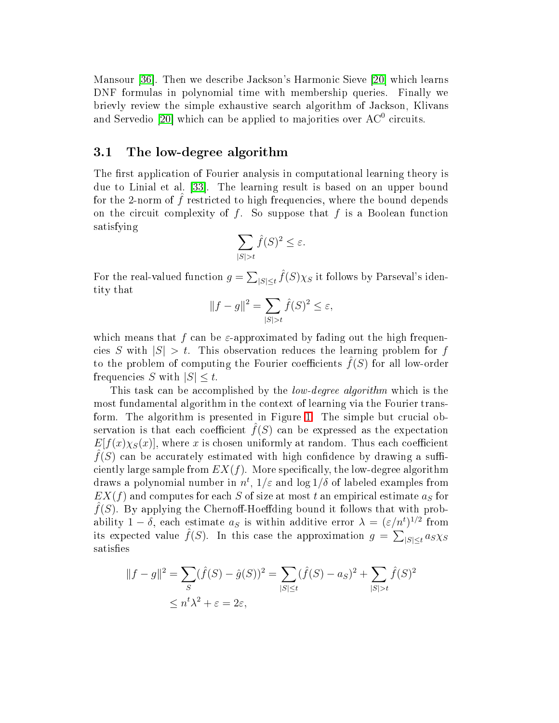Mansour [36]. Then we describe Jackson's Harmonic Sieve [20] which learns DNF formulas in polynomial time with membership queries. Finally we brievly review the simple exhaustive search algorithm of Jackson, Klivans and Servedio [20] which can be applied to majorities over  $\operatorname{AC}^0$  circuits.

#### 3.1 The low-degree algorithm

The first application of Fourier analysis in computational learning theory is due to Linial et al. [33]. The learning result is based on an upper bound for the 2-norm of  $\tilde{f}$  restricted to high frequencies, where the bound depends on the circuit complexity of  $f$ . So suppose that  $f$  is a Boolean function satisfying

$$
\sum_{|S|>t} \hat{f}(S)^2 \le \varepsilon.
$$

For the real-valued function  $g = \sum_{|S| \leq t} \hat{f}(S) \chi_S$  it follows by Parseval's identity that

$$
||f - g||2 = \sum_{|S| > t} \hat{f}(S)^{2} \le \varepsilon,
$$

which means that  $f$  can be  $\varepsilon$ -approximated by fading out the high frequencies S with  $|S| > t$ . This observation reduces the learning problem for f to the problem of computing the Fourier coefficients  $f(S)$  for all low-order frequencies S with  $|S| \leq t$ .

This task can be accomplished by the *low-degree algorithm* which is the most fundamental algorithm in the ontext of learning via the Fourier trans-form. The algorithm is presented in Figure [1.](#page-8-0) The simple but crucial observation is that each coefficient  $\hat{f}(S)$  can be expressed as the expectation  $E[f(x)\chi_{S}(x)]$ , where x is chosen uniformly at random. Thus each coefficient  $f(S)$  can be accurately estimated with high confidence by drawing a sufficiently large sample from  $EX(f)$ . More specifically, the low-degree algorithm draws a polynomial number in  $n^t,$   $1/\varepsilon$  and  $\log 1/\delta$  of labeled examples from  $EX(f)$  and computes for each S of size at most t an empirical estimate  $a<sub>S</sub>$  for  $\widehat{f}(S)$ . By applying the Chernoff-Hoeffding bound it follows that with probability 1 –  $\delta$ , each estimate  $a_S$  is within additive error  $\lambda = (\varepsilon/n^t)^{1/2}$  from its expected value  $\hat{f}(S)$ . In this case the approximation  $g = \sum_{|S| \leq t} a_S \chi_S$ satisfies

$$
||f - g||^2 = \sum_{S} (\hat{f}(S) - \hat{g}(S))^2 = \sum_{|S| \le t} (\hat{f}(S) - a_S)^2 + \sum_{|S| > t} \hat{f}(S)^2
$$
  

$$
\le n^t \lambda^2 + \varepsilon = 2\varepsilon,
$$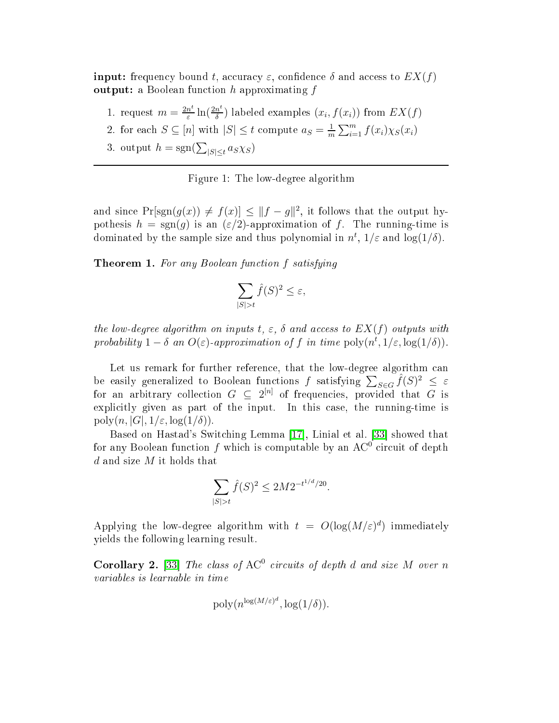$\mathbf{input:} \text{ frequency bound } t, \text{ accuracy } \varepsilon, \text{ confidence } \delta \text{ and access to } EX(f)$  $\textbf{output:} \text{ a Boolean function } h \text{ approximating } f$ 

- 1. request  $m = \frac{2n^t}{s}$  $\frac{n^t}{\varepsilon} \ln(\frac{2n^t}{\delta})$  $\frac{n^{\epsilon}}{\delta}$ ) labeled examples  $(x_i, f(x_i))$  from  $EX(f)$
- 2. for each  $S \subseteq [n]$  with  $|S| \le t$  compute  $a_S = \frac{1}{m}$  $\frac{1}{m}\sum_{i=1}^m f(x_i)\chi_S(x_i)$
- 3. output  $h = \text{sgn}(\sum_{|S| \leq t} a_S \chi_S)$

<span id="page-8-0"></span>Figure 1: The low-degree algorithm

and since  $Pr[\text{sgn}(g(x)) \neq f(x)] \leq ||f - g||^2$ , it follows that the output hypothesis  $h = \text{sgn}(g)$  is an  $(\varepsilon/2)$ -approximation of f. The running-time is dominated by the sample size and thus polynomial in  $n^t$ ,  $1/\varepsilon$  and  $\log(1/\delta)$ .

Theorem 1. For any Boolean function f satisfying

$$
\sum_{|S|>t} \hat{f}(S)^2 \le \varepsilon,
$$

the low-degree algorithm on inputs t,  $\varepsilon$ ,  $\delta$  and access to  $EX(f)$  outputs with probability  $1 - \delta$  an  $O(\varepsilon)$ -approximation of f in time  $\text{poly}(n^t, 1/\varepsilon, \log(1/\delta)).$ 

Let us remark for further reference, that the low-degree algorithm can be easily generalized to Boolean functions f satisfying  $\sum_{S \in G} \hat{f}(S)^2 \leq \varepsilon$ for an arbitrary collection  $G \subseteq 2^{[n]}$  of frequencies, provided that G is explicitly given as part of the input. In this case, the running-time is poly $(n, |G|, 1/\varepsilon, \log(1/\delta)).$ 

Based on Hastad's Switching Lemma [17], Linial et al. [33] showed that for any Boolean function  $f$  which is computable by an  $\operatorname{AC}^0$  circuit of depth d and size M it holds that

$$
\sum_{|S|>t} \hat{f}(S)^2 \le 2M 2^{-t^{1/d}/20}.
$$

<span id="page-8-1"></span>Applying the low-degree algorithm with  $t = O(\log(M/\varepsilon)^d)$  immediately yields the following learning result.

**Corollary 2.** [33] The class of  $AC^0$  circuits of depth d and size M over n variables is learnable in time

$$
\text{poly}(n^{\log(M/\varepsilon)^d}, \log(1/\delta)).
$$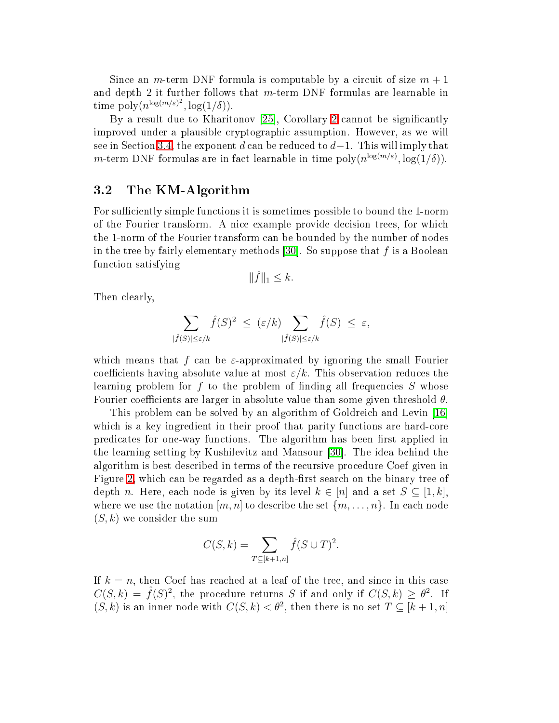Since an *m*-term DNF formula is computable by a circuit of size  $m + 1$ and depth 2 it further follows that  $m$ -term DNF formulas are learnable in time  $\text{poly}(n^{\log(m/\varepsilon)^2}, \log(1/\delta)).$ 

By a result due to Kharitonov [[2](#page-8-1)5], Corollary 2 cannot be significantly improved under a plausible ryptographi assumption. However, as we will see in Section [3.4,](#page-17-0) the exponent d can be reduced to  $d-1$ . This will imply that *m*-term DNF formulas are in fact learnable in time  $\text{poly}(n^{\log(m/\varepsilon)}, \log(1/\delta)).$ 

## 3.2 The KM-Algorithm

For sufficiently simple functions it is sometimes possible to bound the 1-norm of the Fourier transform. A ni
e example provide de
ision trees, for whi
h the 1-norm of the Fourier transform an be bounded by the number of nodes in the tree by fairly elementary methods [30]. So suppose that  $f$  is a Boolean fun
tion satisfying

$$
\|\hat{f}\|_1 \leq k.
$$

Then clearly,

$$
\sum_{|\hat{f}(S)| \leq \varepsilon/k} \hat{f}(S)^2 \leq (\varepsilon/k) \sum_{|\hat{f}(S)| \leq \varepsilon/k} \hat{f}(S) \leq \varepsilon,
$$

which means that f can be  $\varepsilon$ -approximated by ignoring the small Fourier coefficients having absolute value at most  $\varepsilon/k$ . This observation reduces the learning problem for  $f$  to the problem of finding all frequencies  $S$  whose Fourier coefficients are larger in absolute value than some given threshold  $\theta$ .

This problem can be solved by an algorithm of Goldreich and Levin [16] which is a key ingredient in their proof that parity functions are hard-core predicates for one-way functions. The algorithm has been first applied in the learning setting by Kushilevitz and Mansour [30]. The idea behind the algorithm is best des
ribed in terms of the re
ursive pro
edure Coef given in Figure [2,](#page-10-0) which can be regarded as a depth-first search on the binary tree of depth n. Here, each node is given by its level  $k \in [n]$  and a set  $S \subseteq [1, k]$ , where we use the notation  $[m, n]$  to describe the set  $\{m, \ldots, n\}$ . In each node  $(S, k)$  we consider the sum

$$
C(S,k) = \sum_{T \subseteq [k+1,n]} \hat{f}(S \cup T)^2.
$$

If  $k = n$ , then Coef has reached at a leaf of the tree, and since in this case  $C(S, k) = \hat{f}(S)^2$ , the procedure returns S if and only if  $C(S, k) \geq \theta^2$ . If  $(S, k)$  is an inner node with  $C(S, k) < \theta^2$ , then there is no set  $T \subseteq [k + 1, n]$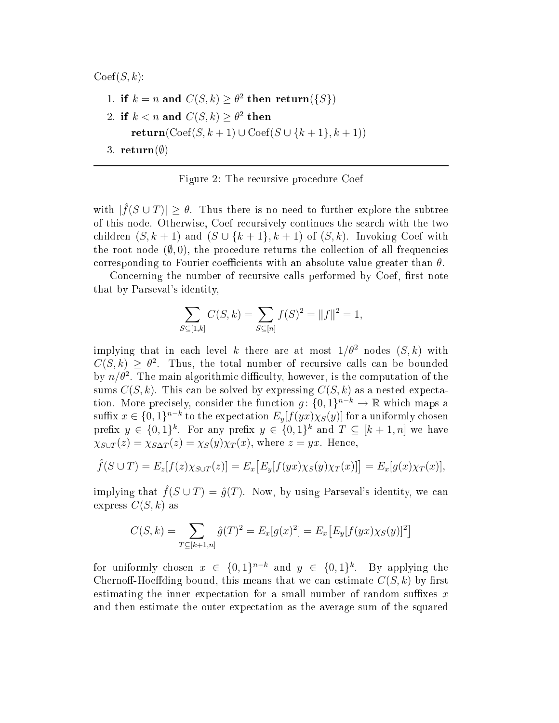$Coef(S, k)$ :

\n- 1. if 
$$
k = n
$$
 and  $C(S, k) \geq \theta^2$  then return({S})
\n- 2. if  $k < n$  and  $C(S, k) \geq \theta^2$  then return( $Coef(S, k + 1) \cup Coef(S \cup \{k + 1\}, k + 1)$ )
\n- 3. return( $\emptyset$ )
\n

<span id="page-10-0"></span>Figure 2: The recursive procedure Coef

with  $|\hat{f}(S \cup T)| \geq \theta$ . Thus there is no need to further explore the subtree of this node. Otherwise, Coef re
ursively ontinues the sear
h with the two children  $(S, k + 1)$  and  $(S \cup \{k + 1\}, k + 1)$  of  $(S, k)$ . Invoking Coef with the root node  $(0,0)$ , the procedure returns the collection of all frequencies corresponding to Fourier coefficients with an absolute value greater than  $\theta$ .

Concerning the number of recursive calls performed by Coef, first note that by Parseval's identity,

$$
\sum_{S \subseteq [1,k]} C(S,k) = \sum_{S \subseteq [n]} f(S)^2 = ||f||^2 = 1,
$$

implying that in each level k there are at most  $1/\theta^2$  nodes  $(S, k)$  with  $C(S, k) \geq \theta^2$ . Thus, the total number of recursive calls can be bounded by  $n/\theta^2$ . The main algorithmic difficulty, however, is the computation of the sums  $C(S, k)$ . This can be solved by expressing  $C(S, k)$  as a nested expectation. More precisely, consider the function  $g: \{0,1\}^{n-k} \to \mathbb{R}$  which maps a suffix  $x \in \{0,1\}^{n-k}$  to the expectation  $E_y[f(yx)\chi_S(y)]$  for a uniformly chosen prefix  $y \in \{0,1\}^k$ . For any prefix  $y \in \{0,1\}^k$  and  $T \subseteq [k+1,n]$  we have  $\chi_{S\cup T}(z) = \chi_{S\Delta T}(z) = \chi_S(y)\chi_T(x)$ , where  $z = yx$ . Hence,

$$
\hat{f}(S \cup T) = E_z[f(z)\chi_{S \cup T}(z)] = E_x[E_y[f(yx)\chi_S(y)\chi_T(x)]] = E_x[g(x)\chi_T(x)],
$$

implying that  $\hat{f}(S \cup T) = \hat{g}(T)$ . Now, by using Parseval's identity, we can express  $C(S, k)$  as

$$
C(S,k) = \sum_{T \subseteq [k+1,n]} \hat{g}(T)^{2} = E_{x}[g(x)^{2}] = E_{x}[E_{y}[f(yx)\chi_{S}(y)]^{2}]
$$

for uniformly chosen  $x \in \{0,1\}^{n-k}$  and  $y \in \{0,1\}^k$ . By applying the Chernoff-Hoeffding bound, this means that we can estimate  $C(S, k)$  by first estimating the inner expectation for a small number of random suffixes  $x$ and then estimate the outer expe
tation as the average sum of the squared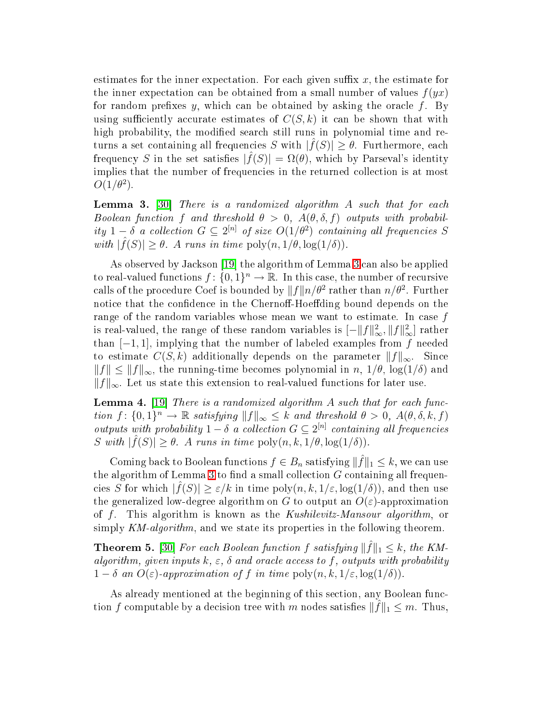estimates for the inner expectation. For each given suffix  $x$ , the estimate for the inner expectation can be obtained from a small number of values  $f(yx)$ for random prefixes  $y$ , which can be obtained by asking the oracle  $f$ . By using sufficiently accurate estimates of  $C(S, k)$  it can be shown that with high probability, the modified search still runs in polynomial time and returns a set containing all frequencies S with  $|\hat{f}(S)| \geq \theta$ . Furthermore, each frequency S in the set satisfies  $|\hat{f}(S)| = \Omega(\theta)$ , which by Parseval's identity implies that the number of frequencies in the returned collection is at most  $O(1/\theta^2)$ .

<span id="page-11-0"></span> ${\bf Lemma}$  3.  $[30]$  There is a randomized algorithm  $A$  such that for each Boolean function f and threshold  $\theta > 0$ ,  $A(\theta, \delta, f)$  outputs with probability  $1-\delta$  a collection  $G \subseteq 2^{[n]}$  of size  $O(1/\theta^2)$  containing all frequencies S with  $|\hat{f}(S)| \geq \theta$ . A runs in time  $\text{poly}(n, 1/\theta, \log(1/\delta)).$ 

As observed by Jackson [19] the algorithm of Lemma [3](#page-11-0) can also be applied to real-valued functions  $f: \{0,1\}^n \to \mathbb{R}$ . In this case, the number of recursive calls of the procedure Coef is bounded by  $||f||n/\theta^2$  rather than  $n/\theta^2$ . Further notice that the confidence in the Chernoff-Hoeffding bound depends on the range of the random variables whose mean we want to estimate. In case  $f$ is real-valued, the range of these random variables is  $[-\|f\|_{\infty}^2, \|f\|_{\infty}^2]$  rather than  $[-1, 1]$ , implying that the number of labeled examples from f needed to estimate  $C(S, k)$  additionally depends on the parameter  $||f||_{\infty}$ . Since  $||f|| \le ||f||_{\infty}$ , the running-time becomes polynomial in n,  $1/\theta$ ,  $\log(1/\delta)$  and  $||f||_{\infty}$ . Let us state this extension to real-valued functions for later use.

<span id="page-11-1"></span>**Lemma 4.** [19] There is a randomized algorithm A such that for each function  $f: \{0,1\}^n \to \mathbb{R}$  satisfying  $||f||_{\infty} \leq k$  and threshold  $\theta > 0$ ,  $A(\theta, \delta, k, f)$ outputs with probability  $1 - \delta$  a collection  $G \subseteq 2^{[n]}$  containing all frequencies S with  $|\hat{f}(S)| \ge \theta$ . A runs in time  $\text{poly}(n, k, 1/\theta, \log(1/\delta)).$ 

Coming back to Boolean functions  $f \in B_n$  satisfying  $\|\hat{f}\|_1 \leq k$ , we can use the algorithm of Lemma [3](#page-11-0) to find a small collection  $G$  containing all frequencies S for which  $|\hat{f}(S)| \ge \varepsilon/k$  in time  $\text{poly}(n, k, 1/\varepsilon, \log(1/\delta))$ , and then use the generalized low-degree algorithm on G to output an  $O(\varepsilon)$ -approximation of f. This algorithm is known as the Kushilevitz-Mansour algorithm, or simply KM-algorithm, and we state its properties in the following theorem.

**Theorem 5.** [30] For each Boolean function f satisfying  $\|\hat{f}\|_1 \leq k$ , the KMalgorithm, given inputs  $k, \varepsilon, \, \delta$  and oracle access to  $f,$  outputs with probability  $1 - \delta$  an  $O(\varepsilon)$ -approximation of f in time poly $(n, k, 1/\varepsilon, \log(1/\delta))$ .

As already mentioned at the beginning of this section, any Boolean function f computable by a decision tree with m nodes satisfies  $\|\hat{f}\|_1 \leq m$ . Thus,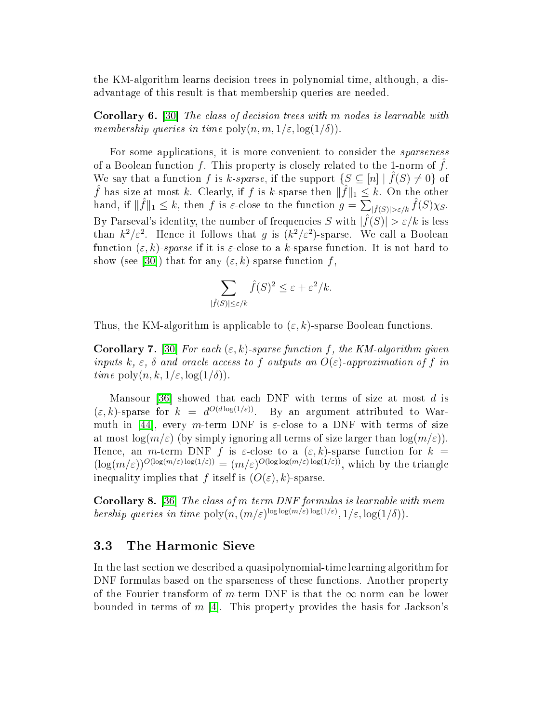the KM-algorithm learns decision trees in polynomial time, although, a disadvantage of this result is that membership queries are needed.

**Corollary 6.** [30] The class of decision trees with m nodes is learnable with membership queries in time  $\text{poly}(n, m, 1/\varepsilon, \log(1/\delta))$ .

For some applications, it is more convenient to consider the *sparseness* of a Boolean function  $f$ . This property is closely related to the 1-norm of  $f$ . We say that a function f is k-sparse, if the support  $\{S \subseteq [n] \mid \hat{f}(S) \neq 0\}$  of  $\hat{f}$  has size at most k. Clearly, if f is k-sparse then  $\|\hat{f}\|_1 \leq k$ . On the other hand, if  $\|\hat{f}\|_1 \leq k$ , then f is  $\varepsilon$ -close to the function  $g = \sum_{|\hat{f}(S)| > \varepsilon/k} \hat{f}(S) \chi_S$ . By Parseval's identity, the number of frequencies S with  $|\hat{f}(S)| > \varepsilon / k$  is less than  $k^2/\varepsilon^2$ . Hence it follows that g is  $(k^2/\varepsilon^2)$ -sparse. We call a Boolean function  $(\varepsilon, k)$ -sparse if it is  $\varepsilon$ -close to a k-sparse function. It is not hard to show (see [30]) that for any  $(\varepsilon, k)$ -sparse function f,

$$
\sum_{\hat{f}(S)|\leq \varepsilon/k} \hat{f}(S)^2 \leq \varepsilon + \varepsilon^2/k.
$$

Thus, the KM-algorithm is applicable to  $(\varepsilon, k)$ -sparse Boolean functions.

|

**Corollary 7.** [30] For each  $(\varepsilon, k)$ -sparse function f, the KM-algorithm given inputs k,  $\varepsilon$ ,  $\delta$  and oracle access to f outputs an  $O(\varepsilon)$ -approximation of f in time  $\text{poly}(n, k, 1/\varepsilon, \log(1/\delta)).$ 

Mansour [36] showed that each DNF with terms of size at most  $d$  is  $(\varepsilon, k)$ -sparse for  $k = d^{O(d \log(1/\varepsilon))}$ . By an argument attributed to Warmuth in [44], every m-term DNF is  $\varepsilon$ -close to a DNF with terms of size at most  $\log(m/\varepsilon)$  (by simply ignoring all terms of size larger than  $\log(m/\varepsilon)$ ). Hence, an *m*-term DNF f is  $\varepsilon$ -close to a  $(\varepsilon, k)$ -sparse function for  $k =$  $(\log(m/\varepsilon))^{O(\log(m/\varepsilon)\log(1/\varepsilon))} = (m/\varepsilon)^{O(\log\log(m/\varepsilon)\log(1/\varepsilon))}$ , which by the triangle inequality implies that f itself is  $(O(\varepsilon), k)$ -sparse.

**Corollary 8.** [36] The class of m-term DNF formulas is learnable with membership queries in time  $\text{poly}(n, (m/\varepsilon)^{\log \log(m/\varepsilon) \log(1/\varepsilon)}, 1/\varepsilon, \log(1/\delta)).$ 

### 3.3 The Harmoni Sieve

In the last se
tion we des
ribed a quasipolynomial-time learning algorithm for DNF formulas based on the sparseness of these functions. Another property of the Fourier transform of m-term DNF is that the  $\infty$ -norm can be lower bounded in terms of  $m$  [4]. This property provides the basis for Jackson's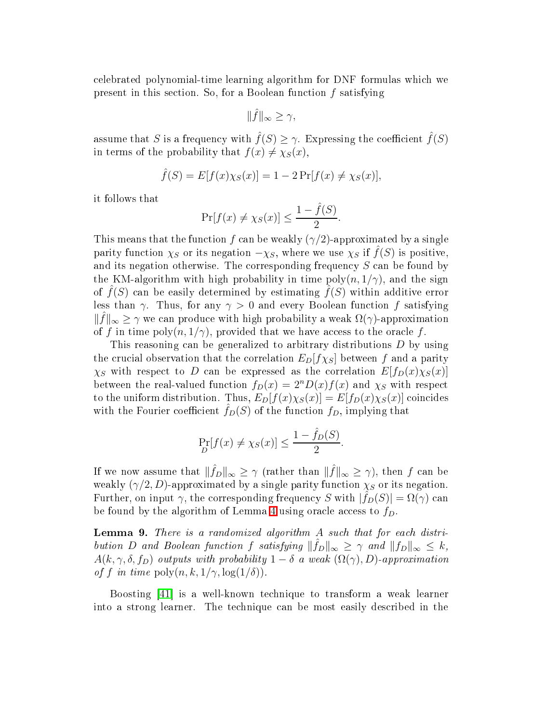elebrated polynomial-time learning algorithm for DNF formulas whi
h we present in this section. So, for a Boolean function  $f$  satisfying

$$
\|\hat{f}\|_{\infty} \geq \gamma,
$$

assume that S is a frequency with  $\hat{f}(S) \geq \gamma$ . Expressing the coefficient  $\hat{f}(S)$ in terms of the probability that  $f(x) \neq \chi_S(x)$ ,

$$
\hat{f}(S) = E[f(x)\chi_S(x)] = 1 - 2\Pr[f(x) \neq \chi_S(x)],
$$

it follows that

$$
\Pr[f(x) \neq \chi_S(x)] \leq \frac{1 - \hat{f}(S)}{2}.
$$

This means that the function f can be weakly  $(\gamma/2)$ -approximated by a single parity function  $\chi_S$  or its negation  $-\chi_S$ , where we use  $\chi_S$  if  $f(S)$  is positive, and its negation otherwise. The corresponding frequency  $S$  can be found by the KM-algorithm with high probability in time  $poly(n, 1/\gamma)$ , and the sign of  $f(S)$  can be easily determined by estimating  $f(S)$  within additive error less than  $\gamma$ . Thus, for any  $\gamma > 0$  and every Boolean function f satisfying  $\|\hat{f}\|_{\infty} \geq \gamma$  we can produce with high probability a weak  $\Omega(\gamma)$ -approximation of f in time  $\text{poly}(n, 1/\gamma)$ , provided that we have access to the oracle f.

This reasoning can be generalized to arbitrary distributions  $D$  by using the crucial observation that the correlation  $E_D[f\chi_S]$  between f and a parity  $\chi_S$  with respect to D can be expressed as the correlation  $E[f_D(x)\chi_S(x)]$ between the real-valued function  $f_D(x) = 2^n D(x) f(x)$  and  $\chi_S$  with respect to the uniform distribution. Thus,  $E_D[f(x)\chi_S(x)] = E[f_D(x)\chi_S(x)]$  coincides with the Fourier coefficient  $\hat{f}_D(S)$  of the function  $f_D$ , implying that

$$
\Pr_{D}[f(x) \neq \chi_{S}(x)] \leq \frac{1 - \hat{f}_{D}(S)}{2}.
$$

If we now assume that  $\|\hat{f}_D\|_{\infty} \geq \gamma$  (rather than  $\|\hat{f}\|_{\infty} \geq \gamma$ ), then f can be weakly  $(\gamma/2, D)$ -approximated by a single parity function  $\chi_S$  or its negation. Further, on input  $\gamma$ , the corresponding frequency S with  $|\hat{f}_D(S)| = \Omega(\gamma)$  can be found by the algorithm of Lemma [4](#page-11-1) using oracle access to  $f<sub>D</sub>$ .

<span id="page-13-0"></span> ${\bf Lemma}$  9. There is a randomized algorithm  $A$  such that for each distribution D and Boolean function f satisfying  $\|\hat{f}_D\|_{\infty} \geq \gamma$  and  $\|f_D\|_{\infty} \leq k$ ,  $A(k, \gamma, \delta, f_D)$  outputs with probability  $1 - \delta$  a weak  $(\Omega(\gamma), D)$ -approximation of f in time  $\text{poly}(n, k, 1/\gamma, \log(1/\delta)).$ 

Boosting [41] is a well-known technique to transform a weak learner into a strong learner. The te
hnique an be most easily des
ribed in the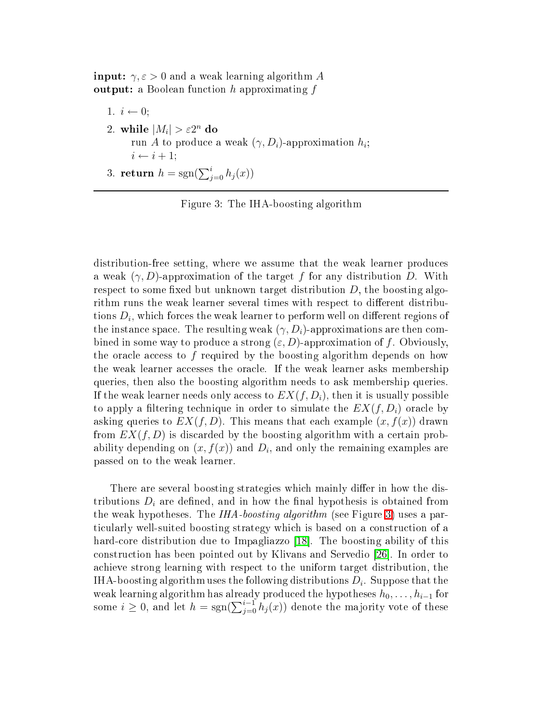$\textbf{input:} \; \gamma, \varepsilon > 0 \; \text{and a weak learning algorithm} \; A$  $\textbf{output:} \text{ a Boolean function } h \text{ approximating } f$ 

1.  $i \leftarrow 0$ ; 2. while  $|M_i| > \varepsilon 2^n$  do run A to produce a weak  $(\gamma, D_i)$ -approximation  $h_i$ ;  $i \leftarrow i + 1$ ;

3. return  $h = sgn(\sum_{j=0}^{i} h_j(x))$ 

<span id="page-14-0"></span>Figure 3: The IHA-boosting algorithm

distribution-free setting, where we assume that the weak learner produ
es a weak  $(\gamma, D)$ -approximation of the target f for any distribution D. With respect to some fixed but unknown target distribution  $D$ , the boosting algorithm runs the weak learner several times with respect to different distributions  $D_i$ , which forces the weak learner to perform well on different regions of the instance space. The resulting weak  $(\gamma, D_i)$ -approximations are then combined in some way to produce a strong  $(\varepsilon, D)$ -approximation of f. Obviously, the oracle access to  $f$  required by the boosting algorithm depends on how the weak learner accesses the oracle. If the weak learner asks membership queries, then also the boosting algorithm needs to ask membership queries. If the weak learner needs only access to  $EX(f, D_i)$ , then it is usually possible to apply a filtering technique in order to simulate the  $EX(f, D_i)$  oracle by asking queries to  $EX(f, D)$ . This means that each example  $(x, f(x))$  drawn from  $EX(f, D)$  is discarded by the boosting algorithm with a certain probability depending on  $(x, f(x))$  and  $D_i$ , and only the remaining examples are passed on to the weak learner.

There are several boosting strategies which mainly differ in how the distributions  $D_i$  are defined, and in how the final hypothesis is obtained from the weak hypotheses. The IHA-boosting algorithm (see Figure [3\)](#page-14-0) uses a parti
ularly well-suited boosting strategy whi
h is based on a onstru
tion of a hard-core distribution due to Impagliazzo [18]. The boosting ability of this construction has been pointed out by Klivans and Servedio [26]. In order to a
hieve strong learning with respe
t to the uniform target distribution, the IHA-boosting algorithm uses the following distributions  $D_i.$  Suppose that the weak learning algorithm has already produced the hypotheses  $h_0, \ldots, h_{i-1}$  for some  $i \geq 0$ , and let  $h = sgn(\sum_{j=0}^{i-1} h_j(x))$  denote the majority vote of these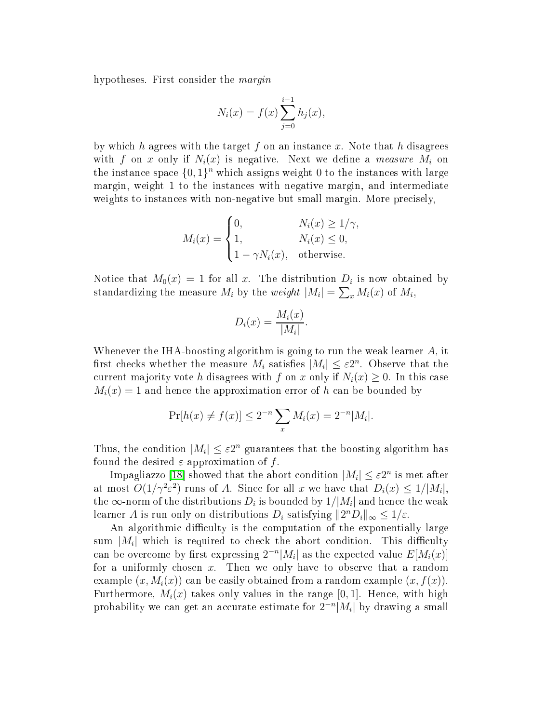hypotheses. First consider the *margin* 

$$
N_i(x) = f(x) \sum_{j=0}^{i-1} h_j(x),
$$

by which h agrees with the target f on an instance x. Note that h disagrees with f on x only if  $N_i(x)$  is negative. Next we define a *measure*  $M_i$  on the instance space  $\{0,1\}^n$  which assigns weight 0 to the instances with large margin, weight 1 to the instan
es with negative margin, and intermediate weights to instances with non-negative but small margin. More precisely,

$$
M_i(x) = \begin{cases} 0, & N_i(x) \ge 1/\gamma, \\ 1, & N_i(x) \le 0, \\ 1 - \gamma N_i(x), & \text{otherwise.} \end{cases}
$$

Notice that  $M_0(x) = 1$  for all x. The distribution  $D_i$  is now obtained by standardizing the measure  $M_i$  by the *weight*  $|M_i| = \sum_x M_i(x)$  of  $M_i$ ,

$$
D_i(x) = \frac{M_i(x)}{|M_i|}.
$$

Whenever the IHA-boosting algorithm is going to run the weak learner  $A$ , it first checks whether the measure  $M_i$  satisfies  $|M_i| \leq \varepsilon 2^n$ . Observe that the current majority vote h disagrees with f on x only if  $N_i(x) \geq 0$ . In this case  $M_i(x) = 1$  and hence the approximation error of h can be bounded by

$$
\Pr[h(x) \neq f(x)] \leq 2^{-n} \sum_{x} M_i(x) = 2^{-n} |M_i|.
$$

Thus, the condition  $|M_i| \leq \varepsilon 2^n$  guarantees that the boosting algorithm has found the desired  $\varepsilon$ -approximation of f.

Impagliazzo [18] showed that the abort condition  $|M_i| \leq \varepsilon 2^n$  is met after at most  $O(1/\gamma^2 \varepsilon^2)$  runs of A. Since for all x we have that  $D_i(x) \leq 1/|M_i|$ , the  $\infty$ -norm of the distributions  $D_i$  is bounded by  $1/|M_i|$  and hence the weak learner A is run only on distributions  $D_i$  satisfying  $||2^n D_i||_{\infty} \leq 1/\varepsilon$ .

An algorithmic difficulty is the computation of the exponentially large sum  $|M_i|$  which is required to check the abort condition. This difficulty can be overcome by first expressing  $2^{-n}|M_i|$  as the expected value  $E[M_i(x)]$ for a uniformly chosen  $x$ . Then we only have to observe that a random example  $(x, M_i(x))$  can be easily obtained from a random example  $(x, f(x))$ . Furthermore,  $M_i(x)$  takes only values in the range [0, 1]. Hence, with high probability we can get an accurate estimate for  $2^{-n}|M_i|$  by drawing a small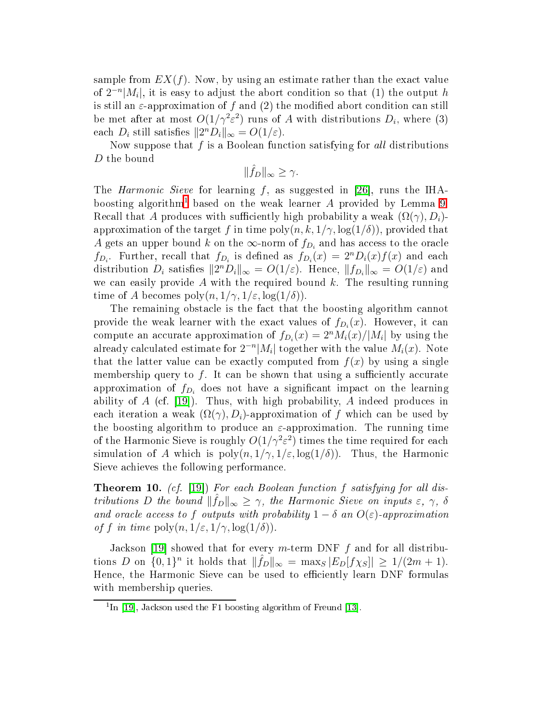sample from  $EX(f)$ . Now, by using an estimate rather than the exact value of  $2^{-n}|M_i|$ , it is easy to adjust the abort condition so that (1) the output h is still an  $\varepsilon$ -approximation of f and (2) the modified abort condition can still be met after at most  $O(1/\gamma^2\varepsilon^2)$  runs of  $A$  with distributions  $D_i$ , where (3) each  $D_i$  still satisfies  $||2^n D_i||_{\infty} = O(1/\varepsilon)$ .

Now suppose that  $f$  is a Boolean function satisfying for all distributions D the bound

 $\|\hat{f}_D\|_{\infty} \geq \gamma.$ 

The *Harmonic Sieve* for learning  $f$ , as suggested in [26], runs the IHAboosting algorithm $^{\rm l}$  based on the weak learner  $A$  provided by Lemma [9.](#page-13-0) Recall that A produces with sufficiently high probability a weak  $(\Omega(\gamma), D_i)$ approximation of the target f in time  $\text{poly}(n, k, 1/\gamma, \log(1/\delta))$ , provided that A gets an upper bound k on the  $\infty$ -norm of  $f_{D_i}$  and has access to the oracle  $f_{D_i}$ . Further, recall that  $f_{D_i}$  is defined as  $f_{D_i}(x) = 2^n D_i(x) f(x)$  and each distribution  $D_i$  satisfies  $||2^n D_i||_{\infty} = O(1/\varepsilon)$ . Hence,  $||f_{D_i}||_{\infty} = O(1/\varepsilon)$  and we can easily provide  $A$  with the required bound  $k$ . The resulting running time of A becomes  $\text{poly}(n, 1/\gamma, 1/\varepsilon, \log(1/\delta)).$ 

The remaining obstacle is the fact that the boosting algorithm cannot provide the weak learner with the exact values of  $f_{D_i}(x)$ . However, it can compute an accurate approximation of  $f_{D_i}(x) = 2^n M_i(x)/|M_i|$  by using the already calculated estimate for  $2^{-n}|M_i|$  together with the value  $M_i(x)$ . Note that the latter value can be exactly computed from  $f(x)$  by using a single membership query to f. It can be shown that using a sufficiently accurate approximation of  $f_{D_i}$  does not have a significant impact on the learning ability of  $A$  (cf. [19]). Thus, with high probability,  $A$  indeed produces in each iteration a weak  $(\Omega(\gamma), D_i)$ -approximation of f which can be used by the boosting algorithm to produce an  $\varepsilon$ -approximation. The running time of the Harmonic Sieve is roughly  $O(1/\gamma^2\varepsilon^2)$  times the time required for each simulation of A which is  $poly(n, 1/\gamma, 1/\varepsilon, \log(1/\delta))$ . Thus, the Harmonic Sieve a
hieves the following performan
e.

**Theorem 10.** (cf. [19]) For each Boolean function f satisfying for all distributions D the bound  $\|\hat{f}_D\|_{\infty} \geq \gamma$ , the Harmonic Sieve on inputs  $\varepsilon$ ,  $\gamma$ ,  $\delta$ and oracle access to f outputs with probability  $1 - \delta$  an  $O(\varepsilon)$ -approximation of f in time  $\text{poly}(n, 1/\varepsilon, 1/\gamma, \log(1/\delta)).$ 

Jackson [19] showed that for every  $m$ -term DNF  $f$  and for all distributions D on  $\{0,1\}^n$  it holds that  $\|\hat{f}_D\|_{\infty} = \max_{S} |E_D[f\chi_S]| \geq 1/(2m+1)$ . Hence, the Harmonic Sieve can be used to efficiently learn DNF formulas with membership queries.

<span id="page-16-0"></span>III [19], Jackson used the F1 boosting algorithm of Freund [13].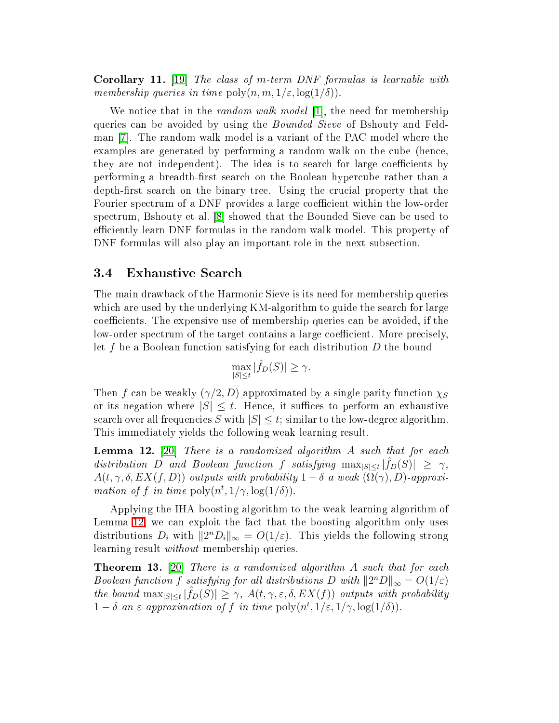**Corollary 11.** [19] The class of m-term DNF formulas is learnable with membership queries in time  $\text{poly}(n, m, 1/\varepsilon, \log(1/\delta))$ .

We notice that in the *random walk model* [1], the need for membership queries can be avoided by using the *Bounded Sieve* of Bshouty and Feldman  $[7]$ . The random walk model is a variant of the PAC model where the examples are generated by performing a random walk on the cube (hence, they are not independent). The idea is to search for large coefficients by performing a breadth-first search on the Boolean hypercube rather than a depth-first search on the binary tree. Using the crucial property that the Fourier spectrum of a DNF provides a large coefficient within the low-order spectrum, Bshouty et al. [8] showed that the Bounded Sieve can be used to efficiently learn DNF formulas in the random walk model. This property of DNF formulas will also play an important role in the next subsection.

#### <span id="page-17-0"></span>3.4 Exhaustive Sear
h

The main drawba
k of the Harmoni Sieve is its need for membership queries which are used by the underlying KM-algorithm to guide the search for large coefficients. The expensive use of membership queries can be avoided, if the low-order spectrum of the target contains a large coefficient. More precisely, let f be a Boolean fun
tion satisfying for ea
h distribution D the bound

$$
\max_{|S| \le t} |\hat{f}_D(S)| \ge \gamma.
$$

Then f can be weakly  $(\gamma/2, D)$ -approximated by a single parity function  $\chi_S$ or its negation where  $|S| \leq t$ . Hence, it suffices to perform an exhaustive search over all frequencies S with  $|S| \leq t$ ; similar to the low-degree algorithm. This immediately yields the following weak learning result.

<span id="page-17-1"></span>**Lemma 12.** [20] There is a randomized algorithm A such that for each distribution D and Boolean function f satisfying  $\max_{|S| \leq t} |\hat{f}_D(S)| \geq \gamma$ ,  $A(t, \gamma, \delta, EX(f, D))$  outputs with probability  $1 - \delta$  a weak  $(\Omega(\gamma), D)$ -approximation of f in time  $\text{poly}(n^t, 1/\gamma, \log(1/\delta)).$ 

Applying the IHA boosting algorithm to the weak learning algorithm of Lemma [12,](#page-17-1) we can exploit the fact that the boosting algorithm only uses distributions  $D_i$  with  $||2^n D_i||_{\infty} = O(1/\varepsilon)$ . This yields the following strong learning result without membership queries.

<span id="page-17-2"></span>**Theorem 13.** [20] There is a randomized algorithm A such that for each Boolean function f satisfying for all distributions  $D$  with  $||2^nD||_{\infty} = O(1/\varepsilon)$ the bound  $\max_{|S| \leq t} |\hat{f}_D(S)| \geq \gamma$ ,  $A(t, \gamma, \varepsilon, \delta, EX(f))$  outputs with probability  $1 - \delta$  an  $\varepsilon$ -approximation of f in time  $\text{poly}(n^t, 1/\varepsilon, 1/\gamma, \log(1/\delta)).$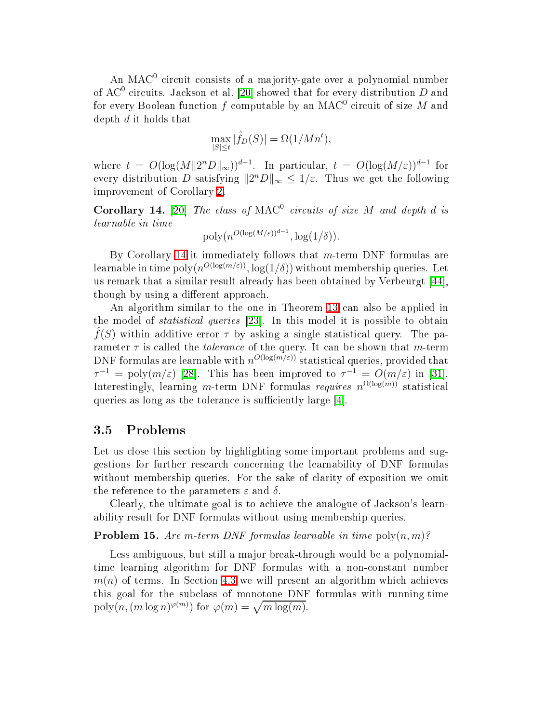An MAC $^{\rm 0}$  circuit consists of a majority-gate over a polynomial number of AC<sup>0</sup> circuits. Jackson et al. [20] showed that for every distribution  $D$  and for every Boolean function  $f$  computable by an MAC $^{\rm 0}$  circuit of size  $M$  and depth d it holds that

$$
\max_{|S| \le t} |\hat{f}_D(S)| = \Omega(1/Mn^t),
$$

where  $t = O(\log(M||2^nD||_{\infty}))^{d-1}$ . In particular,  $t = O(\log(M/\varepsilon))^{d-1}$  for every distribution D satisfying  $||2^nD||_{\infty} \leq 1/\varepsilon$ . Thus we get the following improvement of Corollary [2.](#page-8-1)

<span id="page-18-0"></span>**Corollary 14.** [20] The class of  $MAC^0$  circuits of size M and depth d is learnable in time

$$
\text{poly}(n^{O(\log(M/\varepsilon))^{d-1}}, \log(1/\delta)).
$$

By Corollary [14](#page-18-0) it immediately follows that  $m$ -term DNF formulas are learnable in time  $\operatorname{poly}(n^{O(\log(m/\varepsilon))},\log(1/\delta))$  without membership queries. Let us remark that a similar result already has been obtained by Verbeurgt [44]. though by using a different approach.

An algorithm similar to the one in Theorem [13](#page-17-2) an also be applied in the model of *statistical queries* [23]. In this model it is possible to obtain  $f(S)$  within additive error  $\tau$  by asking a single statistical query. The parameter  $\tau$  is called the *tolerance* of the query. It can be shown that m-term DNF formulas are learnable with  $n^{O(\log(m/\varepsilon))}$  statistical queries, provided that  $\tau^{-1} = \text{poly}(m/\varepsilon)$  [28]. This has been improved to  $\tau^{-1} = O(m/\varepsilon)$  in [31]. Interestingly, learning m-term DNF formulas requires  $n^{\Omega(\log(m))}$  statistical queries as long as the tolerance is sufficiently large [4].

## <span id="page-18-2"></span>3.5 Problems

Let us close this section by highlighting some important problems and suggestions for further resear
h on
erning the learnability of DNF formulas without membership queries. For the sake of larity of exposition we omit the reference to the parameters  $\varepsilon$  and  $\delta$ .

Clearly, the ultimate goal is to achieve the analogue of Jackson's learnability result for DNF formulas without using membership queries.

**Problem 15.** Are m-term DNF formulas learnable in time  $\text{poly}(n,m)$ ?

<span id="page-18-1"></span>Less ambiguous, but still a major break-through would be a polynomialtime learning algorithm for DNF formulas with a non-constant number  $m(n)$  of terms. In Section [4.3](#page-24-0) we will present an algorithm which achieves this goal for the sub
lass of monotone DNF formulas with running-time  $\text{poly}(n, (m \log n)^{\varphi(m)})$  for  $\varphi(m) = \sqrt{m \log(m)}$ .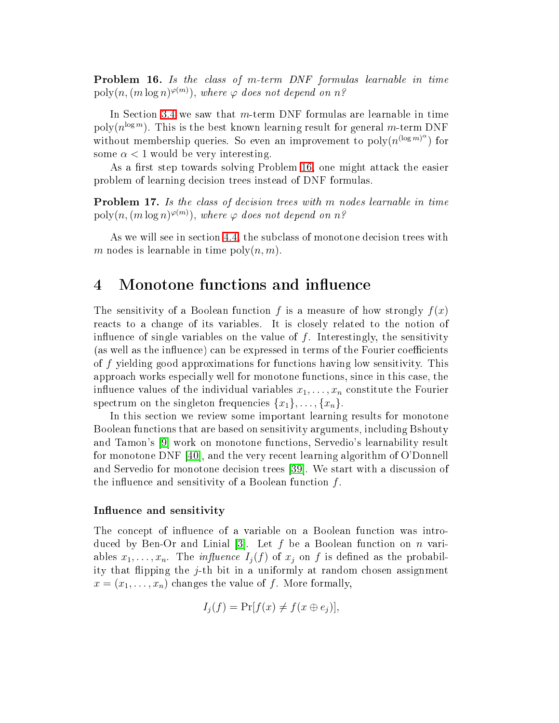${\bf Problem \ \ 16.}$  Is the class of m-term  $\emph{DNF}$  formulas learnable in time  $\mathrm{poly}(n, (m\log n)^{\varphi(m)}),$  where  $\varphi$  does not depend on  $n$ ?

In Section [3.4](#page-17-0) we saw that  $m$ -term DNF formulas are learnable in time poly $(n^{\log m})$ . This is the best known learning result for general m-term DNF without membership queries. So even an improvement to  $\text{poly}(n^{(\log m)^{\alpha}})$  for some  $\alpha < 1$  would be very interesting.

As a first step towards solving Problem [16,](#page-18-1) one might attack the easier problem of learning decision trees instead of DNF formulas.

**Problem 17.** Is the class of decision trees with m nodes learnable in time  $\mathrm{poly}(n, (m\log n)^{\varphi(m)}),$  where  $\varphi$  does not depend on  $n$ ?

As we will see in section [4.4,](#page-26-0) the subclass of monotone decision trees with m nodes is learnable in time  $\text{poly}(n, m)$ .

# 4

The sensitivity of a Boolean function f is a measure of how strongly  $f(x)$ reacts to a change of its variables. It is closely related to the notion of influence of single variables on the value of  $f$ . Interestingly, the sensitivity (as well as the influence) can be expressed in terms of the Fourier coefficients of f yielding good approximations for fun
tions having low sensitivity. This approa
h works espe
ially well for monotone fun
tions, sin
e in this ase, the influence values of the individual variables  $x_1, \ldots, x_n$  constitute the Fourier spectrum on the singleton frequencies  $\{x_1\}, \ldots, \{x_n\}.$ 

In this section we review some important learning results for monotone Boolean fun
tions that are based on sensitivity arguments, in
luding Bshouty and Tamon's [9] work on monotone functions, Servedio's learnability result for monotone DNF  $|40|$ , and the very recent learning algorithm of O'Donnell and Servedio for monotone decision trees [39]. We start with a discussion of the influence and sensitivity of a Boolean function  $f$ .

#### e and sensitivity in the sensitivity of the sensitivity of the sensitivity of the sensitivity of the sensitivity

The concept of influence of a variable on a Boolean function was introduced by Ben-Or and Linial [3]. Let f be a Boolean function on n variables  $x_1, \ldots, x_n$ . The *influence*  $I_j(f)$  of  $x_j$  on f is defined as the probability that flipping the  $j$ -th bit in a uniformly at random chosen assignment  $x = (x_1, \ldots, x_n)$  changes the value of f. More formally,

$$
I_j(f) = \Pr[f(x) \neq f(x \oplus e_j)],
$$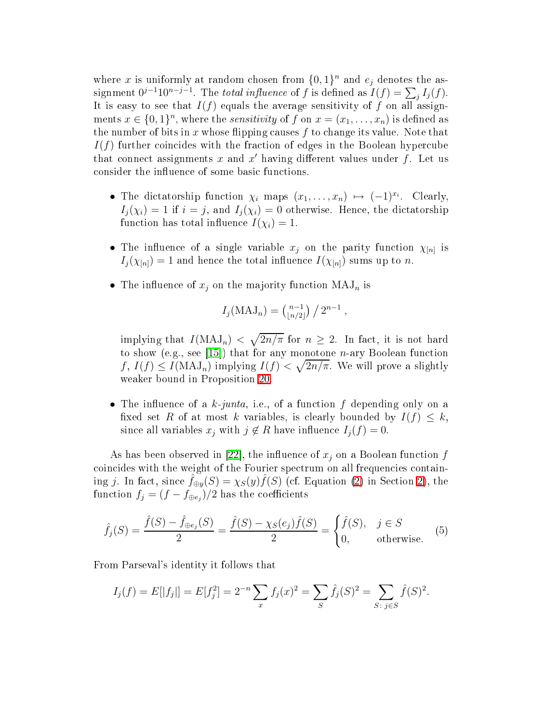where x is uniformly at random chosen from  $\{0,1\}^n$  and  $e_j$  denotes the assignment  $0^{j-1}10^{n-j-1}$ . The total influence of f is defined as  $I(f) = \sum_j I_j(f)$ . It is easy to see that  $I(f)$  equals the average sensitivity of f on all assignments  $x \in \{0,1\}^n$ , where the *sensitivity* of f on  $x = (x_1, \ldots, x_n)$  is defined as the number of bits in x whose flipping causes  $f$  to change its value. Note that  $I(f)$  further coincides with the fraction of edges in the Boolean hypercube that connect assignments  $x$  and  $x'$  having different values under  $f.$  Let us consider the influence of some basic functions.

- The dictatorship function  $\chi_i$  maps  $(x_1, \ldots, x_n) \mapsto (-1)^{x_i}$ . Clearly,  $I_j(\chi_i) = 1$  if  $i = j$ , and  $I_j(\chi_i) = 0$  otherwise. Hence, the dictatorship function has total influence  $I(\chi_i) = 1$ .
- The influence of a single variable  $x_j$  on the parity function  $\chi_{[n]}$  is  $I_j(\chi_{[n]}) = 1$  and hence the total influence  $I(\chi_{[n]})$  sums up to n.
- The influence of  $x_j$  on the majority function  $\text{MAJ}_n$  is

<span id="page-20-0"></span>
$$
I_j(MAJ_n) = \binom{n-1}{\lfloor n/2 \rfloor} / 2^{n-1},
$$

implying that  $I(\text{MAJ}_n) < \sqrt{2n/\pi}$  for  $n \geq 2$ . In fact, it is not hard to show (e.g., see [15]) that for any monotone  $n$ -ary Boolean function  $f, I(f) \leq I(\text{MAJ}_n)$  implying  $I(f) < \sqrt{2n/\pi}$ . We will prove a slightly weaker bound in Proposition [20.](#page-21-0)

• The influence of a k-junta, i.e., of a function f depending only on a fixed set R of at most k variables, is clearly bounded by  $I(f) \leq k$ , since all variables  $x_j$  with  $j \notin R$  have influence  $I_j(f) = 0$ .

As has been observed in [22], the influence of  $x_j$  on a Boolean function f coincides with the weight of the Fourier spectrum on all frequencies containing j. In fact, since  $\hat{f}_{\oplus y}(S) = \chi_S(y)\hat{f}(S)$  (cf. Equation [\(2\)](#page-2-1) in Section [2\)](#page-2-2), the function  $f_j = (f - f_{\oplus e_j})/2$  has the coefficients

$$
\hat{f}_j(S) = \frac{\hat{f}(S) - \hat{f}_{\oplus e_j}(S)}{2} = \frac{\hat{f}(S) - \chi_S(e_j)\hat{f}(S)}{2} = \begin{cases} \hat{f}(S), & j \in S \\ 0, & \text{otherwise.} \end{cases}
$$
 (5)

From Parseval's identity it follows that

$$
I_j(f) = E[|f_j|] = E[f_j^2] = 2^{-n} \sum_x f_j(x)^2 = \sum_s \hat{f}_j(S)^2 = \sum_{S: \ j \in S} \hat{f}(S)^2.
$$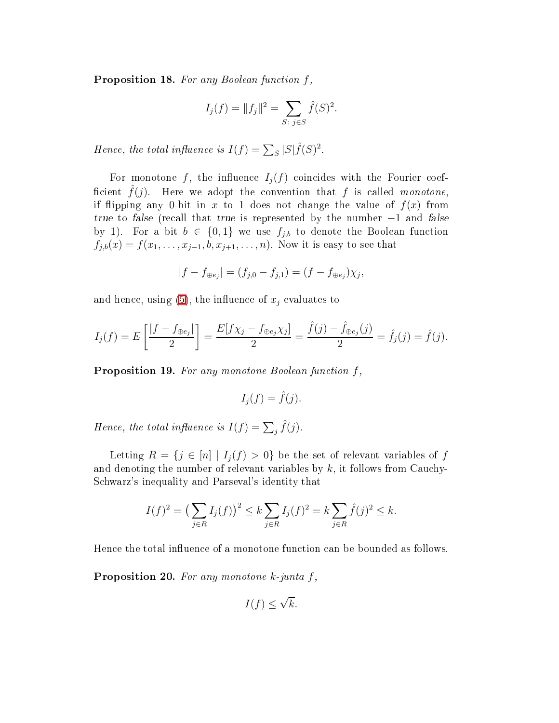**Proposition 18.** For any Boolean function  $f$ ,

$$
I_j(f) = ||f_j||^2 = \sum_{S: \ j \in S} \hat{f}(S)^2.
$$

Hence, the total influence is  $I(f) = \sum_{S} |S| \hat{f}(S)^2$ .

For monotone f, the influence  $I_j(f)$  coincides with the Fourier coefficient  $\hat{f}(j)$ . Here we adopt the convention that f is called monotone, if flipping any 0-bit in x to 1 does not change the value of  $f(x)$  from true to false (recall that true is represented by the number  $-1$  and false by 1). For a bit  $b \in \{0,1\}$  we use  $f_{j,b}$  to denote the Boolean function  $f_{j,b}(x) = f(x_1, \ldots, x_{j-1}, b, x_{j+1}, \ldots, n)$ . Now it is easy to see that

$$
|f - f_{\oplus e_j}| = (f_{j,0} - f_{j,1}) = (f - f_{\oplus e_j})\chi_j,
$$

and hence, using  $(5)$ , the influence of  $x_j$  evaluates to

$$
I_j(f) = E\left[\frac{|f - f_{\oplus e_j}|}{2}\right] = \frac{E[f\chi_j - f_{\oplus e_j}\chi_j]}{2} = \frac{\hat{f}(j) - \hat{f}_{\oplus e_j}(j)}{2} = \hat{f}_j(j) = \hat{f}(j).
$$

**Proposition 19.** For any monotone Boolean function  $f$ ,

$$
I_j(f) = \hat{f}(j).
$$

Hence, the total influence is  $I(f) = \sum_j \hat{f}(j)$ .

Letting  $R = \{j \in [n] \mid I_j(f) > 0\}$  be the set of relevant variables of f and denoting the number of relevant variables by  $k$ , it follows from Cauchy-S
hwarz's inequality and Parseval's identity that

$$
I(f)^{2} = \left(\sum_{j \in R} I_{j}(f)\right)^{2} \le k \sum_{j \in R} I_{j}(f)^{2} = k \sum_{j \in R} \hat{f}(j)^{2} \le k.
$$

<span id="page-21-0"></span>Hence the total influence of a monotone function can be bounded as follows.

**Proposition 20.** For any monotone k-junta  $f$ ,

$$
I(f) \le \sqrt{k}.
$$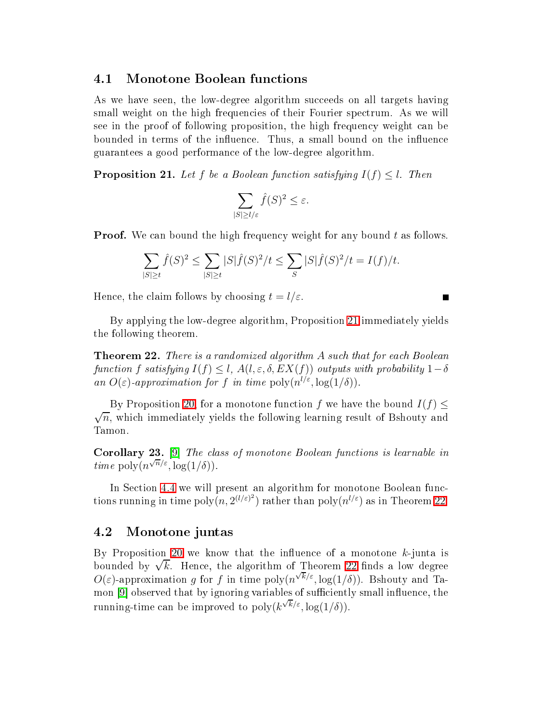#### 4.1 Monotone Boolean fun
tions

As we have seen, the low-degree algorithm succeeds on all targets having small weight on the high frequencies of their Fourier spectrum. As we will see in the proof of following proposition, the high frequency weight can be bounded in terms of the influence. Thus, a small bound on the influence guarantees a good performan
e of the low-degree algorithm.

<span id="page-22-0"></span>**Proposition 21.** Let  $f$  be a Boolean function satisfying  $I(f) \leq l$ . Then

$$
\sum_{|S|\geq l/\varepsilon}\hat{f}(S)^2 \leq \varepsilon.
$$

**Proof.** We can bound the high frequency weight for any bound  $t$  as follows.

$$
\sum_{|S| \ge t} \hat{f}(S)^2 \le \sum_{|S| \ge t} |S|\hat{f}(S)^2/t \le \sum_{S} |S|\hat{f}(S)^2/t = I(f)/t.
$$

Hence, the claim follows by choosing  $t = l/\varepsilon$ .

<span id="page-22-1"></span>By applying the low-degree algorithm, Proposition [21](#page-22-0) immediately yields the following theorem.

**Theorem 22.** There is a randomized algorithm A such that for each Boolean function f satisfying  $I(f) \leq l$ ,  $A(l, \varepsilon, \delta, EX(f))$  outputs with probability  $1-\delta$ an  $O(\varepsilon)$ -approximation for f in time  $\text{poly}(n^{1/\varepsilon}, \log(1/\delta)).$ 

By Proposition [20,](#page-21-0) for a monotone function f we have the bound  $I(f) \leq$  $\sqrt{n}$ , which immediately yields the following learning result of Bshouty and Tamon.

. The the corollary 23. In the corollary and the corollary possible in the corollary and the corollary of the corollary and the corollary of the corollary of the corollary of the corollary of the corollary of the corollary *time* poly $(n^{\sqrt{n}/\varepsilon}, \log(1/\delta)).$ 

In Section [4.4](#page-26-0) we will present an algorithm for monotone Boolean functions running in time  $\text{poly}(n, 2^{(l/\varepsilon)^2})$  rather than  $\text{poly}(n^{l/\varepsilon})$  as in Theorem [22.](#page-22-1)

#### <span id="page-22-2"></span>4.2 Monotone juntas

By Proposition [20](#page-21-0) we know that the influence of a monotone  $k$ -junta is bounded by  $\sqrt{k}$ . Hence, the algorithm of Theorem [22](#page-22-1) finds a low degree  $O(\varepsilon)$ -approximation g for f in time  $\text{poly}(n^{\sqrt{k}/\varepsilon}, \log(1/\delta))$ . Bshouty and Tamon [9] observed that by ignoring variables of sufficiently small influence, the running-time can be improved to  $\operatorname{poly}(k^{\sqrt{k}/\varepsilon}, \log(1/\delta)).$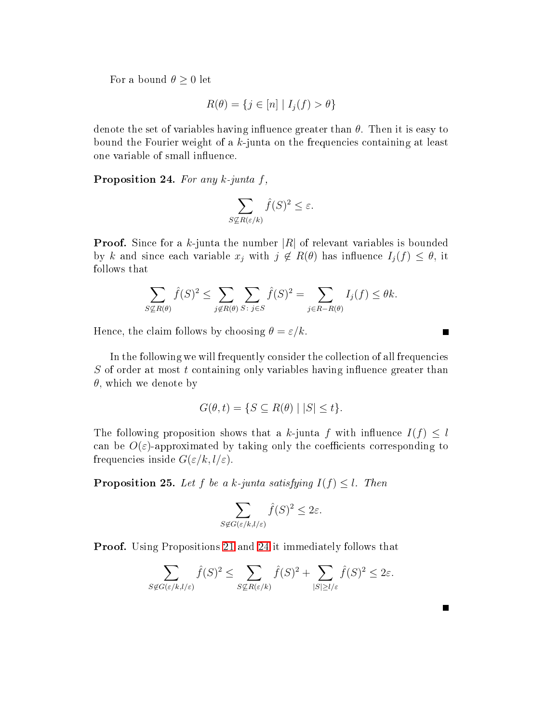For a bound  $\theta \geq 0$  let

$$
R(\theta) = \{ j \in [n] \mid I_j(f) > \theta \}
$$

<span id="page-23-0"></span>denote the set of variables having influence greater than  $\theta$ . Then it is easy to bound the Fourier weight of a  $k$ -junta on the frequencies containing at least one variable of small influence.

Proposition 24. For any k-junta f,

$$
\sum_{S \nsubseteq R(\varepsilon/k)} \hat{f}(S)^2 \le \varepsilon.
$$

**Proof.** Since for a k-junta the number  $|R|$  of relevant variables is bounded by k and since each variable  $x_j$  with  $j \notin R(\theta)$  has influence  $I_j(f) \leq \theta$ , it follows that

$$
\sum_{S \nsubseteq R(\theta)} \hat{f}(S)^2 \le \sum_{j \notin R(\theta)} \sum_{S \colon j \in S} \hat{f}(S)^2 = \sum_{j \in R - R(\theta)} I_j(f) \le \theta k.
$$

Hence, the claim follows by choosing  $\theta = \varepsilon/k$ .

In the following we will frequently consider the collection of all frequencies  $S$  of order at most t containing only variables having influence greater than  $\theta$ , which we denote by

$$
G(\theta, t) = \{ S \subseteq R(\theta) \mid |S| \le t \}.
$$

The following proposition shows that a k-junta f with influence  $I(f) \leq l$ can be  $O(\varepsilon)$ -approximated by taking only the coefficients corresponding to frequencies inside  $G(\varepsilon/k, l/\varepsilon)$ .

**Proposition 25.** Let  $f$  be a k-junta satisfying  $I(f) \leq l$ . Then

$$
\sum_{S \notin G(\varepsilon/k, l/\varepsilon)} \hat{f}(S)^2 \le 2\varepsilon.
$$

Proof. Using Propositions [21](#page-22-0) and [24](#page-23-0) it immediately follows that

$$
\sum_{S \not\in G(\varepsilon/k, l/\varepsilon)} \hat{f}(S)^2 \le \sum_{S \not\subseteq R(\varepsilon/k)} \hat{f}(S)^2 + \sum_{|S| \ge l/\varepsilon} \hat{f}(S)^2 \le 2\varepsilon.
$$

 $\blacksquare$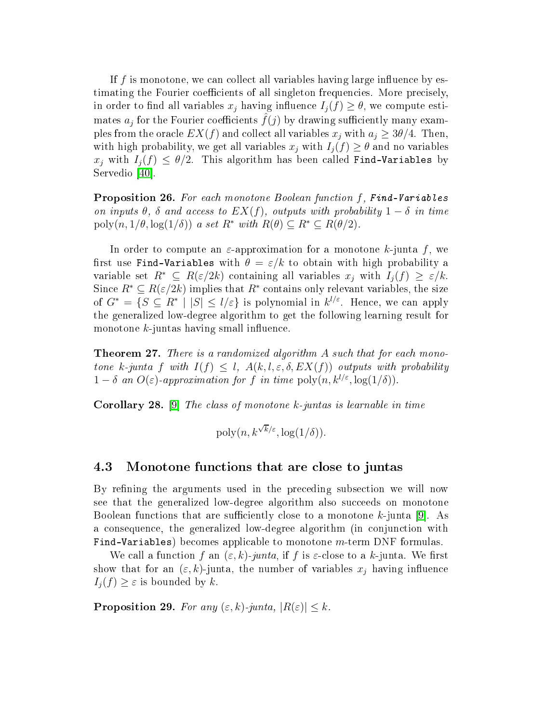If  $f$  is monotone, we can collect all variables having large influence by estimating the Fourier coefficients of all singleton frequencies. More precisely, in order to find all variables  $x_j$  having influence  $I_i(f) \geq \theta$ , we compute estimates  $a_j$  for the Fourier coefficients  $f(j)$  by drawing sufficiently many examples from the oracle  $EX(f)$  and collect all variables  $x_j$  with  $a_j \geq 3\theta/4$ . Then, with high probability, we get all variables  $x_j$  with  $I_j(f) \geq \theta$  and no variables  $x_j$  with  $I_j(f) \leq \theta/2$ . This algorithm has been called Find-Variables by Servedio  $[40]$ .

**Proposition 26.** For each monotone Boolean function f, Find-Variables on inputs  $\theta$ ,  $\delta$  and access to  $EX(f)$ , outputs with probability  $1-\delta$  in time poly $(n, 1/\theta, \log(1/\delta))$  a set  $R^*$  with  $R(\theta) \subseteq R^* \subseteq R(\theta/2)$ .

In order to compute an  $\varepsilon$ -approximation for a monotone k-junta f, we first use Find-Variables with  $\theta = \varepsilon/k$  to obtain with high probability a variable set  $R^* \subseteq R(\varepsilon/2k)$  containing all variables  $x_i$  with  $I_i(f) \geq \varepsilon/k$ . Since  $R^* \subseteq R(\varepsilon/2k)$  implies that  $R^*$  contains only relevant variables, the size of  $G^* = \{S \subseteq R^* \mid |S| \le l/\varepsilon\}$  is polynomial in  $k^{l/\varepsilon}$ . Hence, we can apply the generalized low-degree algorithm to get the following learning result for monotone  $k$ -juntas having small influence.

**Theorem 27.** There is a randomized algorithm  $A$  such that for each monotone k-junta f with  $I(f) \leq l$ ,  $A(k, l, \varepsilon, \delta, EX(f))$  outputs with probability  $1 - \delta$  an  $O(\varepsilon)$ -approximation for f in time  $\text{poly}(n, k^{l/\varepsilon}, \log(1/\delta)).$ 

<span id="page-24-2"></span>**Corollary 28.** [9] The class of monotone k-juntas is learnable in time

$$
poly(n, k^{\sqrt{k}/\varepsilon}, \log(1/\delta)).
$$

### <span id="page-24-0"></span>4.3 Monotone fun
tions that are lose to juntas

By refining the arguments used in the preceding subsection we will now see that the generalized low-degree algorithm also succeeds on monotone Boolean functions that are sufficiently close to a monotone k-junta  $|9|$ . As a consequence, the generalized low-degree algorithm (in conjunction with Find-Variables) becomes applicable to monotone *m*-term DNF formulas.

We call a function f an  $(\varepsilon, k)$ -junta, if f is  $\varepsilon$ -close to a k-junta. We first show that for an  $(\varepsilon, k)$ -junta, the number of variables  $x_i$  having influence  $I_i(f) \geq \varepsilon$  is bounded by k.

<span id="page-24-1"></span>**Proposition 29.** For any  $(\varepsilon, k)$ -junta,  $|R(\varepsilon)| \leq k$ .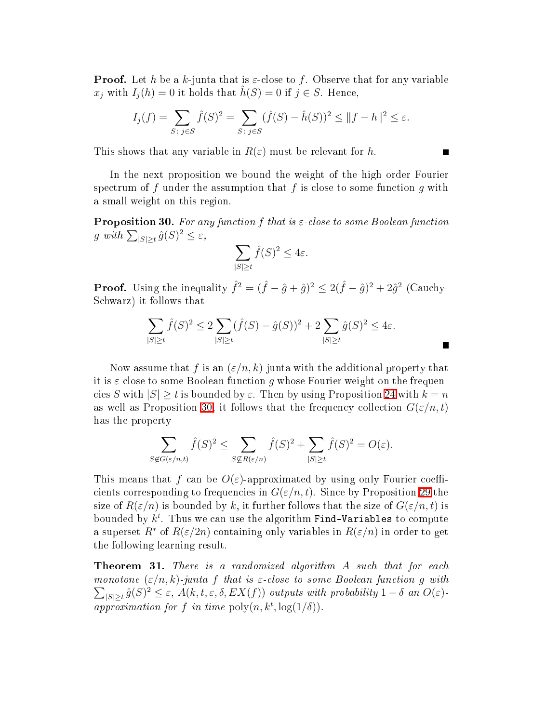**Proof.** Let h be a k-junta that is  $\varepsilon$ -close to f. Observe that for any variable  $x_j$  with  $I_i(h) = 0$  it holds that  $h(S) = 0$  if  $j \in S$ . Hence,

$$
I_j(f) = \sum_{S: \ j \in S} \hat{f}(S)^2 = \sum_{S: \ j \in S} (\hat{f}(S) - \hat{h}(S))^2 \le ||f - h||^2 \le \varepsilon.
$$

This shows that any variable in  $R(\varepsilon)$  must be relevant for h.

In the next proposition we bound the weight of the high order Fourier spectrum of f under the assumption that f is close to some function q with a small weight on this region.

<span id="page-25-0"></span>**Proposition 30.** For any function f that is  $\varepsilon$ -close to some Boolean function g with  $\sum_{|S|\geq t} \hat{g}(S)^2 \leq \varepsilon$ ,

$$
\sum_{|S| \ge t} \hat{f}(S)^2 \le 4\varepsilon.
$$

**Proof.** Using the inequality  $\hat{f}^2 = (\hat{f} - \hat{g} + \hat{g})^2 \le 2(\hat{f} - \hat{g})^2 + 2\hat{g}^2$  (Cauchy-S
hwarz) it follows that

$$
\sum_{|S|\geq t} \hat{f}(S)^2 \leq 2 \sum_{|S|\geq t} (\hat{f}(S) - \hat{g}(S))^2 + 2 \sum_{|S|\geq t} \hat{g}(S)^2 \leq 4\varepsilon.
$$

Now assume that f is an  $(\varepsilon/n, k)$ -junta with the additional property that it is  $\varepsilon$ -close to some Boolean function g whose Fourier weight on the frequencies S with  $|S| \ge t$  is bounded by  $\varepsilon$ . Then by using Proposition [24](#page-23-0) with  $k = n$ as well as Proposition [30,](#page-25-0) it follows that the frequency collection  $G(\varepsilon/n, t)$ has the property

$$
\sum_{S \not\in G(\varepsilon/n,t)} \hat{f}(S)^2 \le \sum_{S \not\subseteq R(\varepsilon/n)} \hat{f}(S)^2 + \sum_{|S| \ge t} \hat{f}(S)^2 = O(\varepsilon).
$$

This means that f can be  $O(\varepsilon)$ -approximated by using only Fourier coefficients corresponding to frequencies in  $G(\varepsilon/n, t)$ . Since by Proposition [29](#page-24-1) the size of  $R(\varepsilon/n)$  is bounded by k, it further follows that the size of  $G(\varepsilon/n, t)$  is bounded by  $k^t$ . Thus we can use the algorithm Find-Variables to compute a superset  $R^*$  of  $R(\varepsilon/2n)$  containing only variables in  $R(\varepsilon/n)$  in order to get the following learning result.

<span id="page-25-1"></span>**Theorem 31.** There is a randomized algorithm  $A$  such that for each monotone  $(\varepsilon/n, k)$ -junta f that is  $\varepsilon$ -close to some Boolean function g with  $\sum_{|S| \geq t} \hat{g}(S)^2 \leq \varepsilon$ ,  $A(k, t, \varepsilon, \delta, EX(f))$  outputs with probability  $1 - \delta$  an  $O(\varepsilon)$ . approximation for f in time  $\text{poly}(n, k^t, \log(1/\delta)).$ 

 $\blacksquare$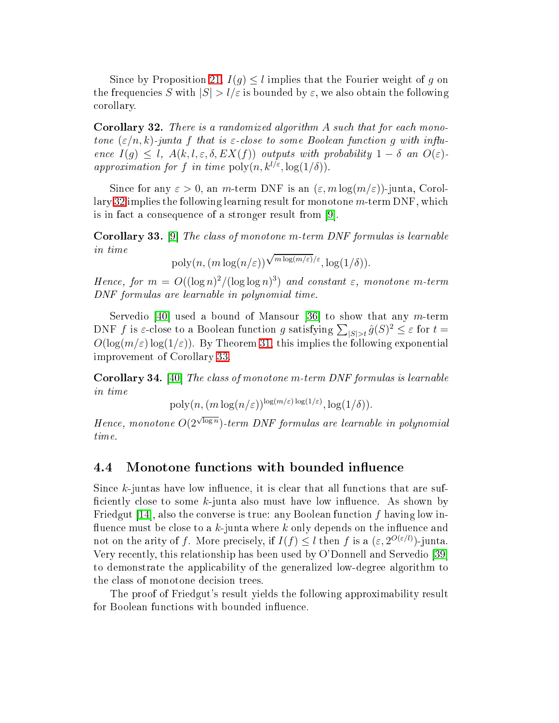Since by Proposition [21,](#page-22-0)  $I(q) \leq l$  implies that the Fourier weight of g on the frequencies S with  $|S| > l/\varepsilon$  is bounded by  $\varepsilon$ , we also obtain the following orollary.

<span id="page-26-1"></span>Corollary 32. There is a randomized algorithm A such that for each monotone  $(\varepsilon/n, k)$ -junta f that is  $\varepsilon$ -close to some Boolean function q with influence  $I(g) \leq l$ ,  $A(k, l, \varepsilon, \delta, EX(f))$  outputs with probability  $1 - \delta$  an  $O(\varepsilon)$ . approximation for f in time  $\text{poly}(n, k^{l/\varepsilon}, \log(1/\delta)).$ 

Since for any  $\varepsilon > 0$ , an m-term DNF is an  $(\varepsilon, m \log(m/\varepsilon))$ -junta, Corol-lary [32](#page-26-1) implies the following learning result for monotone  $m$ -term DNF, which is in fact a consequence of a stronger result from  $[9]$ .

<span id="page-26-2"></span>**Corollary 33.** [9] The class of monotone m-term DNF formulas is learnable in time

$$
poly(n, (m \log(n/\varepsilon))\sqrt{\frac{m \log(m/\varepsilon)}{\varepsilon}}, \log(1/\delta)).
$$

Hence, for  $m = O((\log n)^2/(\log \log n)^3)$  and constant  $\varepsilon$ , monotone m-term DNF formulas are learnable in polynomial time.

Servedio [40] used a bound of Mansour [36] to show that any m-term DNF f is  $\varepsilon$ -close to a Boolean function g satisfying  $\sum_{|S|>t} \hat{g}(S)^2 \leq \varepsilon$  for  $t =$  $O(\log(m/\varepsilon) \log(1/\varepsilon))$ . By Theorem [31,](#page-25-1) this implies the following exponential improvement of Corollary [33.](#page-26-2)

<span id="page-26-3"></span>**Corollary 34.** [40] The class of monotone m-term DNF formulas is learnable in time

$$
poly(n, (m \log(n/\varepsilon))^{\log(m/\varepsilon) \log(1/\varepsilon)}, \log(1/\delta)).
$$

Hence, monotone  $O(2^{\sqrt{\log n}})$ -term DNF formulas are learnable in polynomial time.

# <span id="page-26-0"></span>4.4 Monotone functions with bounded influence

Since  $k$ -juntas have low influence, it is clear that all functions that are sufficiently close to some  $k$ -junta also must have low influence. As shown by Friedgut [14], also the converse is true: any Boolean function f having low influence must be close to a  $k$ -junta where k only depends on the influence and not on the arity of f. More precisely, if  $I(f) \leq l$  then f is a  $(\varepsilon, 2^{O(\varepsilon/l)})$ -junta. Very recently, this relationship has been used by O'Donnell and Servedio [39] to demonstrate the appli
ability of the generalized low-degree algorithm to the class of monotone decision trees.

The proof of Friedgut's result yields the following approximability result for Boolean functions with bounded influence.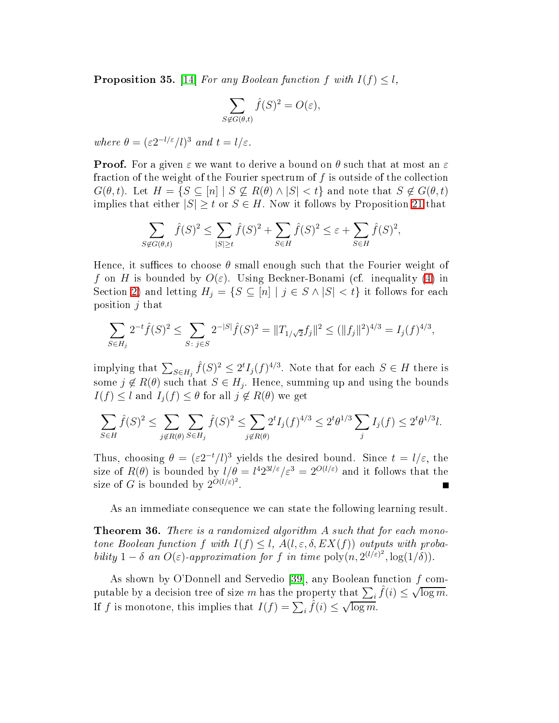**Proposition 35.** [14] For any Boolean function  $f$  with  $I(f) \leq l$ ,

$$
\sum_{S \notin G(\theta, t)} \hat{f}(S)^2 = O(\varepsilon),
$$

where  $\theta = (\varepsilon 2^{-l/\varepsilon}/l)^3$  and  $t = l/\varepsilon$ .

**Proof.** For a given  $\varepsilon$  we want to derive a bound on  $\theta$  such that at most an  $\varepsilon$ fraction of the weight of the Fourier spectrum of f is outside of the collection  $G(\theta, t)$ . Let  $H = \{S \subseteq [n] \mid S \nsubseteq R(\theta) \land |S| < t\}$  and note that  $S \notin G(\theta, t)$ implies that either  $|S| \geq t$  or  $S \in H$ . Now it follows by Proposition 21 that

$$
\sum_{S \notin G(\theta,t)} \hat{f}(S)^2 \le \sum_{|S| \ge t} \hat{f}(S)^2 + \sum_{S \in H} \hat{f}(S)^2 \le \varepsilon + \sum_{S \in H} \hat{f}(S)^2,
$$

Hence, it suffices to choose  $\theta$  small enough such that the Fourier weight of f on H is bounded by  $O(\varepsilon)$ . Using Beckner-Bonami (cf. inequality [\(4\)](#page-5-0) in Section [2\)](#page-2-2) and letting  $H_j = \{S \subseteq [n] | j \in S \wedge |S| < t\}$  it follows for each position  $j$  that

$$
\sum_{S \in H_j} 2^{-t} \hat{f}(S)^2 \le \sum_{S: \ j \in S} 2^{-|S|} \hat{f}(S)^2 = ||T_{1/\sqrt{2}} f_j||^2 \le (||f_j||^2)^{4/3} = I_j(f)^{4/3},
$$

implying that  $\sum_{S \in H_j} \hat{f}(S)^2 \leq 2^t I_j(f)^{4/3}$ . Note that for each  $S \in H$  there is some  $j \notin R(\theta)$  such that  $S \in H_j$ . Hence, summing up and using the bounds  $I(f) \leq l$  and  $I_i(f) \leq \theta$  for all  $j \notin R(\theta)$  we get

$$
\sum_{S \in H} \hat{f}(S)^2 \le \sum_{j \notin R(\theta)} \sum_{S \in H_j} \hat{f}(S)^2 \le \sum_{j \notin R(\theta)} 2^t I_j(f)^{4/3} \le 2^t \theta^{1/3} \sum_j I_j(f) \le 2^t \theta^{1/3} l.
$$

Thus, choosing  $\theta = (\varepsilon 2^{-t}/l)^3$  yields the desired bound. Since  $t = l/\varepsilon$ , the size of  $R(\theta)$  is bounded by  $l/\theta = l^4 2^{3l/\varepsilon}/\varepsilon^3 = 2^{O(l/\varepsilon)}$  and it follows that the size of G is bounded by  $2^{O(l/\varepsilon)^2}$ 

As an immediate onsequen
e we an state the following learning result.

<span id="page-27-0"></span>**Theorem 36.** There is a randomized algorithm  $A$  such that for each monotone Boolean function f with  $I(f) \leq l$ ,  $A(l, \varepsilon, \delta, EX(f))$  outputs with probability  $1 - \delta$  an  $O(\varepsilon)$ -approximation for f in time  $\text{poly}(n, 2^{(l/\varepsilon)^2}, \log(1/\delta)).$ 

As shown by O'Donnell and Servedio [39], any Boolean function  $f$  computable by a decision tree of size m has the property that  $\sum_i \hat{f}(i) \leq \sqrt{\log m}$ . If f is monotone, this implies that  $I(f) = \sum_i \hat{f}(i) \leq \sqrt{\log m}$ .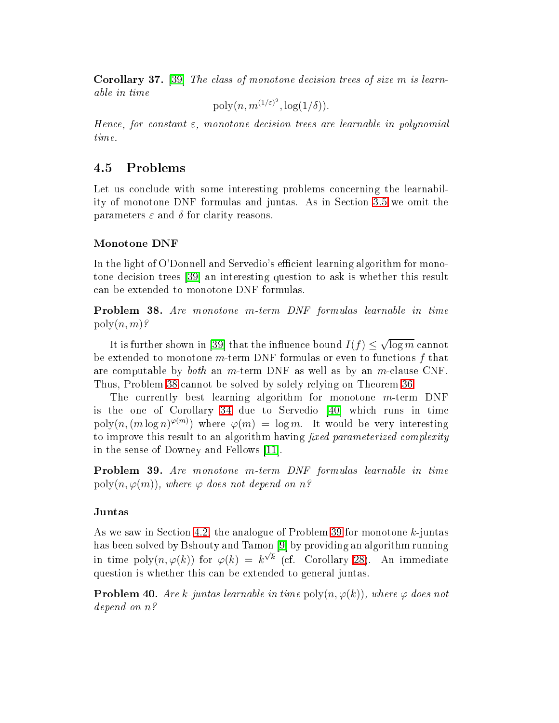**Corollary 37.** [39] The class of monotone decision trees of size  $m$  is learnable in time

 $\mathrm{poly}(n, m^{(1/\varepsilon)^2}, \log(1/\delta)).$ 

Hence, for constant  $\varepsilon$ , monotone decision trees are learnable in polynomial time.

#### Problems 4.5

Let us conclude with some interesting problems concerning the learnability of monotone DNF formulas and juntas. As in Se
tion [3.5](#page-18-2) we omit the parameters  $\varepsilon$  and  $\delta$  for clarity reasons.

# Monotone DNF

In the light of O'Donnell and Servedio's efficient learning algorithm for monotone decision trees [39] an interesting question to ask is whether this result an be extended to monotone DNF formulas.

<span id="page-28-0"></span>Problem 38. Are monotone m-term DNF formulas learnable in time  $poly(n, m)$ ?

It is further shown in [39] that the influence bound  $I(f) \leq \sqrt{\log m}$  cannot be extended to monotone  $m$ -term DNF formulas or even to functions f that are computable by *both* an *m*-term DNF as well as by an *m*-clause CNF. Thus, Problem [38](#page-28-0) annot be solved by solely relying on Theorem [36.](#page-27-0)

The currently best learning algorithm for monotone  $m$ -term DNF is the one of Corollary  $34$  due to Servedio  $[40]$  which runs in time  $\text{poly}(n, (m \log n)^{\varphi(m)})$  where  $\varphi(m) = \log m$ . It would be very interesting to improve this result to an algorithm having fixed parameterized complexity in the sense of Downey and Fellows [11].

<span id="page-28-1"></span>Problem 39. Are monotone m-term DNF formulas learnable in time poly $(n, \varphi(m))$ , where  $\varphi$  does not depend on n?

### Juntas

As we saw in Section [4.2,](#page-22-2) the analogue of Problem [39](#page-28-1) for monotone k-juntas has been solved by Bshouty and Tamon [9] by providing an algorithm running in time poly $(n, \varphi(k))$  for  $\varphi(k) = k^{\sqrt{k}}$  (cf. Corollary [28\)](#page-24-2). An immediate question is whether this an be extended to general juntas.

<span id="page-28-2"></span>**Problem 40.** Are k-juntas learnable in time  $\text{poly}(n, \varphi(k))$ , where  $\varphi$  does not depend on n?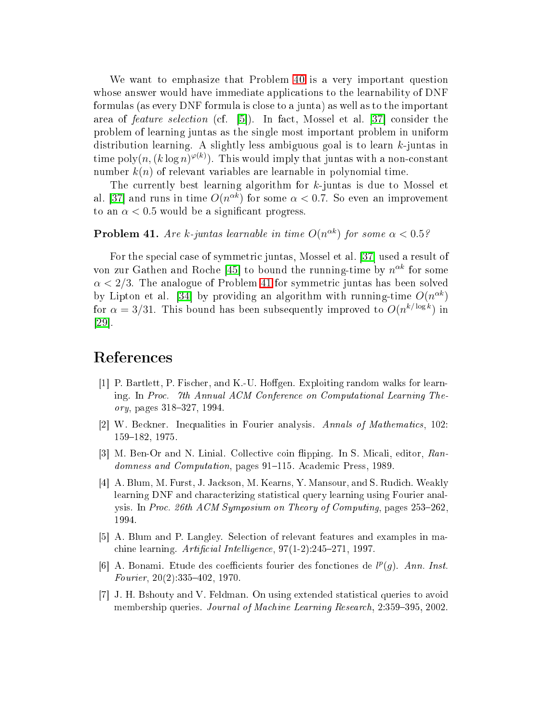We want to emphasize that Problem [40](#page-28-2) is a very important question whose answer would have immediate applications to the learnability of DNF formulas (as every DNF formula is lose to a junta) as well as to the important area of *feature selection* (cf. [5]). In fact, Mossel et al. [37] consider the problem of learning juntas as the single most important problem in uniform distribution learning. A slightly less ambiguous goal is to learn  $k$ -juntas in time poly $(n, (k \log n)^{\varphi(k)})$ . This would imply that juntas with a non-constant number  $k(n)$  of relevant variables are learnable in polynomial time.

The currently best learning algorithm for k-juntas is due to Mossel et al. [37] and runs in time  $O(n^{\alpha k})$  for some  $\alpha < 0.7$ . So even an improvement to an  $\alpha$  < 0.5 would be a significant progress.

## <span id="page-29-7"></span>**Problem 41.** Are k-juntas learnable in time  $O(n^{\alpha k})$  for some  $\alpha < 0.5$ ?

For the special case of symmetric juntas, Mossel et al. [37] used a result of von zur Gathen and Roche [45] to bound the running-time by  $n^{\alpha k}$  for some  $\alpha < 2/3$ . The analogue of Problem [41](#page-29-7) for symmetric juntas has been solved by Lipton et al. [34] by providing an algorithm with running-time  $O(n^{\alpha k})$ for  $\alpha = 3/31$ . This bound has been subsequently improved to  $O(n^{k/\log k})$  in  $|29|$ .

- <span id="page-29-4"></span>[1] P. Bartlett, P. Fischer, and K.-U. Hoffgen. Exploiting random walks for learning. In Pro
. 7th Annual ACM Conferen
e on Computational Learning The $ory, pages 318–327, 1994.$
- <span id="page-29-1"></span><span id="page-29-0"></span>[2] W. Beckner. Inequalities in Fourier analysis. Annals of Mathematics, 102: 159-182, 1975.
- <span id="page-29-3"></span>[3] M. Ben-Or and N. Linial. Collective coin flipping. In S. Micali, editor, Randomness and Computation, pages 91-115. Academic Press, 1989.
- [4] A. Blum, M. Furst, J. Jackson, M. Kearns, Y. Mansour, and S. Rudich. Weakly learning DNF and characterizing statistical query learning using Fourier analysis. In Proc. 26th ACM Symposium on Theory of Computing, pages 253–262. 1994.
- <span id="page-29-6"></span><span id="page-29-2"></span>[5] A. Blum and P. Langley. Selection of relevant features and examples in machine learning. Artificial Intelligence,  $97(1-2)$ :245-271, 1997.
- [6] A. Bonami. Etude des coefficients fourier des fonctiones de  $l^p(g)$ . Ann. Inst. Fourier,  $20(2)$ : 335-402, 1970.
- <span id="page-29-5"></span>[7] J. H. Bshouty and V. Feldman. On using extended statistical queries to avoid membership queries. Journal of Machine Learning Research, 2:359-395, 2002.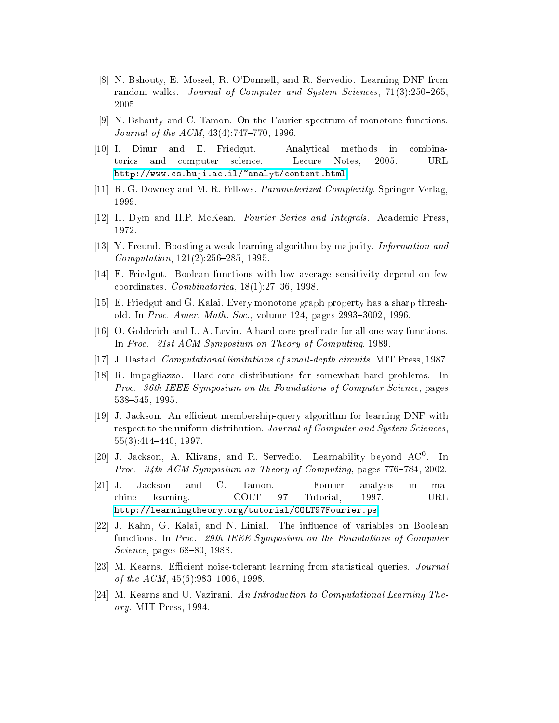- <span id="page-30-13"></span>[8] N. Bshouty, E. Mossel, R. O'Donnell, and R. Servedio. Learning DNF from random walks. Journal of Computer and System Sciences, 71(3):250–265. 2005.
- <span id="page-30-3"></span>[9] N. Bshouty and C. Tamon. On the Fourier spectrum of monotone functions. Journal of the  $ACM$ ,  $43(4)$ :747-770, 1996.
- <span id="page-30-6"></span>[10] I. Dinur and E. Friedgut. Analytical methods in combinatori
s and omputer s
ien
e. Le
ure Notes, 2005. URL http://www.cs.huji.ac.il/~analyt/content.html.
- <span id="page-30-16"></span><span id="page-30-5"></span>[11] R. G. Downey and M. R. Fellows. *Parameterized Complexity*. Springer-Verlag, 1999.
- <span id="page-30-12"></span>[12] H. Dym and H.P. McKean. Fourier Series and Integrals. Academic Press. 1972.
- <span id="page-30-4"></span>[13] Y. Freund. Boosting a weak learning algorithm by majority. *Information and*  $Computation, 121(2):256-285, 1995.$
- <span id="page-30-15"></span>[14] E. Friedgut. Boolean functions with low average sensitivity depend on few coordinates.  $Combinatorica$ ,  $18(1).27-36$ , 1998.
- <span id="page-30-10"></span>[15] E. Friedgut and G. Kalai. Every monotone graph property has a sharp threshold. In Proc. Amer. Math. Soc., volume 124, pages 2993-3002, 1996.
- <span id="page-30-9"></span>[16] O. Goldreich and L. A. Levin. A hard-core predicate for all one-way functions. In Proc. 21st ACM Symposium on Theory of Computing, 1989.
- <span id="page-30-11"></span> $|17|$  J. Hastad. Computational limitations of small-depth circuits. MIT Press, 1987.
- [18] R. Impagliazzo. Hard-core distributions for somewhat hard problems. In Proc. 36th IEEE Symposium on the Foundations of Computer Science, pages 538545, 1995.
- <span id="page-30-0"></span>[19] J. Jackson. An efficient membership-query algorithm for learning DNF with respect to the uniform distribution. Journal of Computer and System Sciences.  $55(3):414-440, 1997.$
- <span id="page-30-8"></span><span id="page-30-2"></span>[20] J. Jackson, A. Klivans, and R. Servedio. Learnability beyond  $AC^0$ . In Proc. 34th ACM Symposium on Theory of Computing, pages 776–784, 2002.
- [21] J. Jackson and C. Tamon. Fourier analysis in ma- $C_{\cdot}$ in hine learning. COLT 97 Tutorial, 1997. URL [http://learningtheory.org/tutorial/COLT97Fourier.ps.](http://learningtheory.org/tutorial/COLT97Fourier.ps)
- <span id="page-30-1"></span>[22] J. Kahn, G. Kalai, and N. Linial. The influence of variables on Boolean functions. In Proc. 29th IEEE Symposium on the Foundations of Computer *Science*, pages 68–80, 1988.
- <span id="page-30-14"></span><span id="page-30-7"></span>[23] M. Kearns. Efficient noise-tolerant learning from statistical queries. Journal of the  $ACM$ ,  $45(6)$ : 983-1006, 1998.
- [24] M. Kearns and U. Vazirani. An Introduction to Computational Learning Theory. MIT Press, 1994.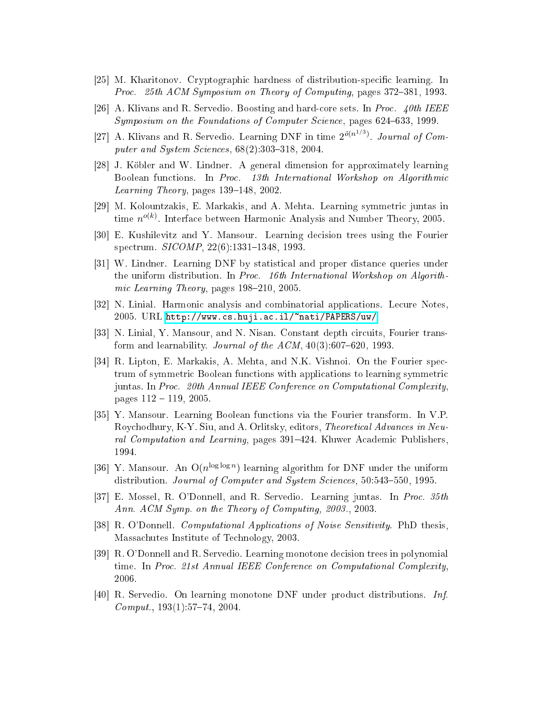- <span id="page-31-10"></span><span id="page-31-9"></span>[25] M. Kharitonov. Cryptographic hardness of distribution-specific learning. In Proc. 25th ACM Symposium on Theory of Computing, pages 372–381, 1993.
- <span id="page-31-0"></span>[26] A. Klivans and R. Servedio. Boosting and hard-core sets. In *Proc.* 40th IEEE Symposium on the Foundations of Computer Science, pages 624-633, 1999.
- [27] A. Klivans and R. Servedio. Learning DNF in time  $2^{\tilde{o}(n^{1/3})}$ . Journal of Computer and System Sciences,  $68(2)$ :303-318, 2004.
- <span id="page-31-11"></span>[28] J. Köbler and W. Lindner. A general dimension for approximately learning Boolean functions. In Proc. 13th International Workshop on Algorithmic Learning Theory, pages  $139-148$ ,  $2002$ .
- <span id="page-31-15"></span><span id="page-31-2"></span>[29] M. Kolountzakis, E. Markakis, and A. Mehta. Learning symmetric juntas in time  $n^{o(k)}$ . Interface between Harmonic Analysis and Number Theory, 2005.
- <span id="page-31-12"></span>[30] E. Kushilevitz and Y. Mansour. Learning decision trees using the Fourier spectrum. *SICOMP*, 22(6):1331-1348, 1993.
- [31] W. Lindner. Learning DNF by statistical and proper distance queries under the uniform distribution. In Proc. 16th International Workshop on Algorithmic Learning Theory, pages 198–210, 2005.
- <span id="page-31-6"></span><span id="page-31-1"></span>[32] N. Linial. Harmonic analysis and combinatorial applications. Lecure Notes, 2005. URL [http://www.
s.huji.a
.il/~nati/PAPERS/uw/.](http://www.cs.huji.ac.il/~nati/PAPERS/uw/)
- <span id="page-31-14"></span>[33] N. Linial, Y. Mansour, and N. Nisan. Constant depth circuits, Fourier transform and learnability. Journal of the  $ACM$ ,  $40(3):607-620$ , 1993.
- [34] R. Lipton, E. Markakis, A. Mehta, and N.K. Vishnoi. On the Fourier spectrum of symmetric Boolean functions with applications to learning symmetric juntas. In Proc. 20th Annual IEEE Conference on Computational Complexity. pages  $112 - 119$ , 2005.
- <span id="page-31-7"></span>[35] Y. Mansour. Learning Boolean functions via the Fourier transform. In V.P. Roychodhury, K-Y. Siu, and A. Orlitsky, editors, *Theoretical Advances in Neu*ral Computation and Learning, pages 391–424. Kluwer Academic Publishers. 1994.
- <span id="page-31-13"></span><span id="page-31-8"></span>[36] Y. Mansour. An  $O(n^{\log \log n})$  learning algorithm for DNF under the uniform distribution. Journal of Computer and System Sciences, 50:543-550, 1995.
- <span id="page-31-5"></span>[37] E. Mossel, R. O'Donnell, and R. Servedio. Learning juntas. In Proc. 35th Ann. ACM Symp. on the Theory of Computing, 2003., 2003.
- <span id="page-31-4"></span>[38] R. O'Donnell. *Computational Applications of Noise Sensitivity*. PhD thesis. Massa
hutes Institute of Te
hnology, 2003.
- [39] R. O'Donnell and R. Servedio. Learning monotone decision trees in polynomial time. In Proc. 21st Annual IEEE Conference on Computational Complexity. 2006.
- <span id="page-31-3"></span>[40] R. Servedio. On learning monotone DNF under product distributions. Inf.  $Comput., 193(1):57-74, 2004.$